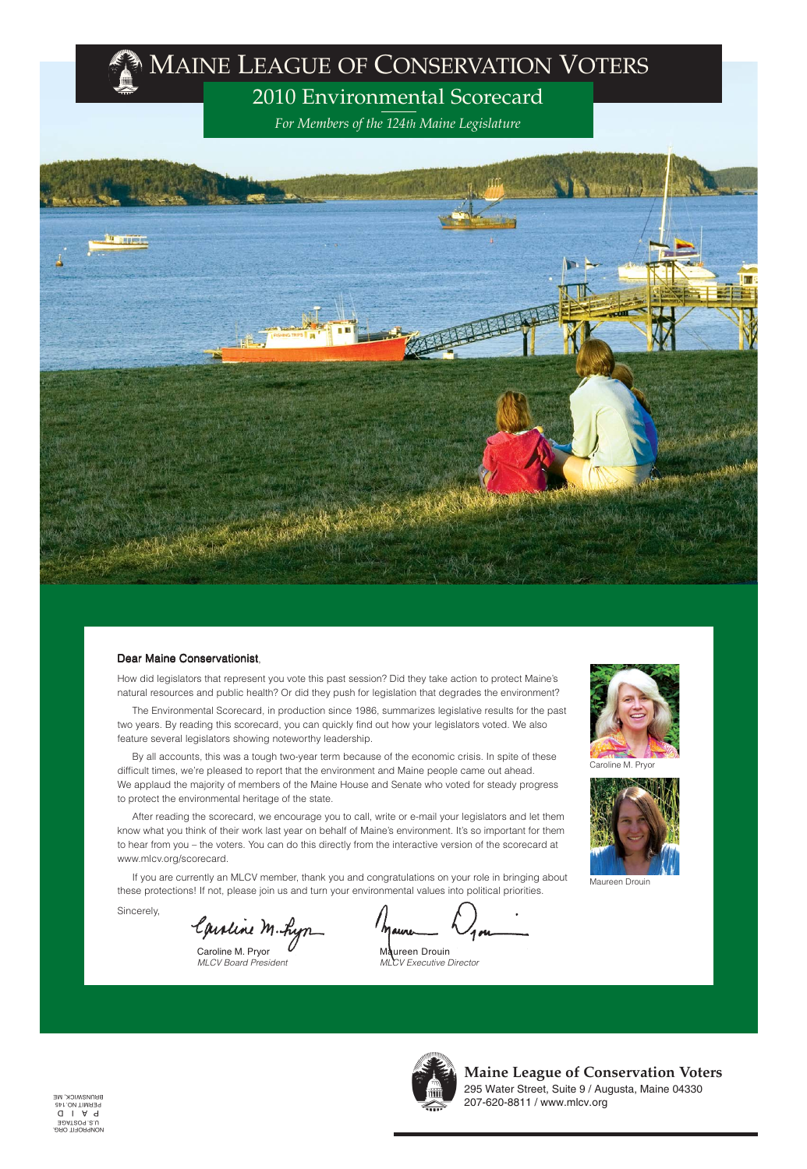How did legislators that represent you vote this past session? Did they take action to protect Maine's natural resources and public health? Or did they push for legislation that degrades the environment?

The Environmental Scorecard, in production since 1986, summarizes legislative results for the past two years. By reading this scorecard, you can quickly find out how your legislators voted. We also feature several legislators showing noteworthy leadership.

By all accounts, this was a tough two-year term because of the economic crisis. In spite of these difficult times, we're pleased to report that the environment and Maine people came out ahead. We applaud the majority of members of the Maine House and Senate who voted for steady progress to protect the environmental heritage of the state.

Maureen Drouin MLCV Executive Director

2009-2010/Maine League of Conservation Voters Environmental Scorecard NONPROFIT ORG. U.S. POSTAGE P A I D PERMIT NO. 145 BRUNSWICK, ME



After reading the scorecard, we encourage you to call, write or e-mail your legislators and let them know what you think of their work last year on behalf of Maine's environment. It's so important for them to hear from you – the voters. You can do this directly from the interactive version of the scorecard at www.mlcv.org/scorecard.

If you are currently an MLCV member, thank you and congratulations on your role in bringing about

these protections! If not, please join us and turn your environmental values into political priorities.

Sincerely,

Caroline M. Lyn



Caroline M. Pryor

Caroline M. Pryor MLCV Board President

Maure



Maureen Drouin

**Maine League of Conservation Voters** 295 Water Street, Suite 9 / Augusta, Maine 04330 207-620-8811 / www.mlcv.org

# **MAINE LEAGUE OF CONSERVATION VOTERS**

# 2010 Environmental Scorecard

*For Members of the 124th Maine Legislature*



#### Dear Maine Conservationist,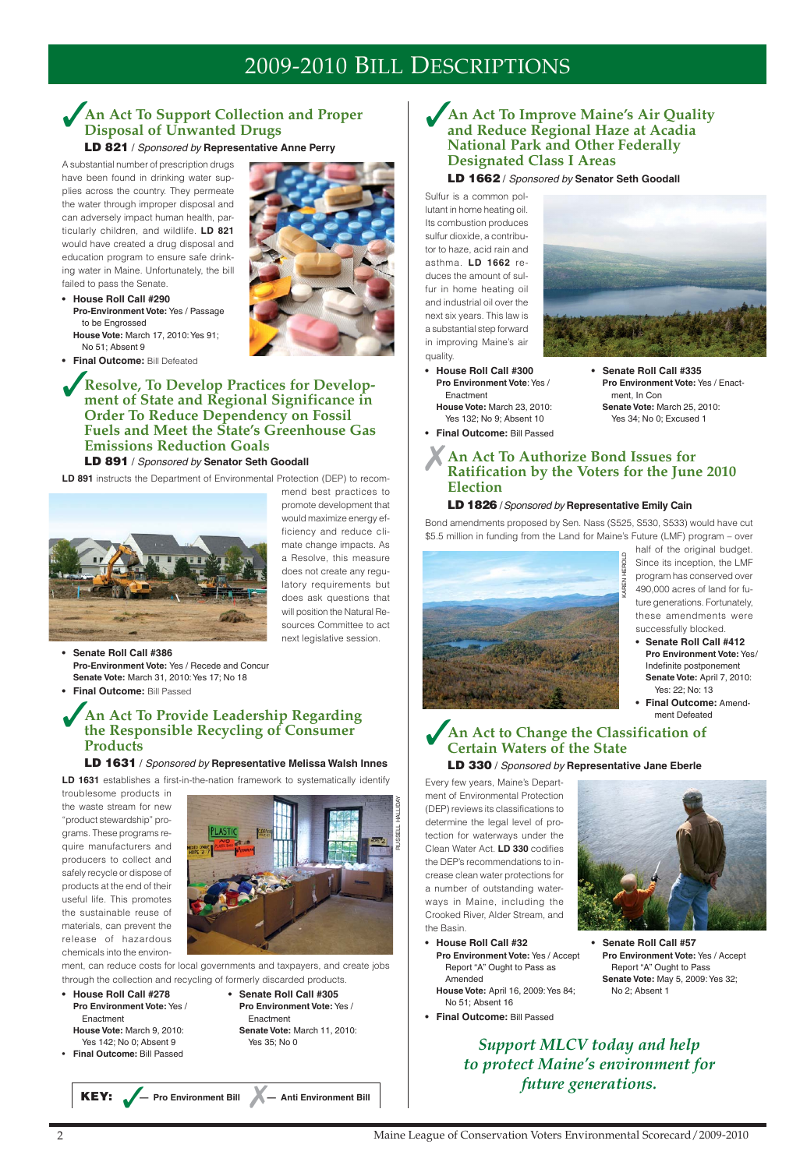**KEY:** ✓**— Pro Environment Bill — Anti Environment Bill** ✗

# ✓**An Act To Support Collection and Proper Disposal of Unwanted Drugs**

**LD 821** / Sponsored by **Representative Anne Perry**

A substantial number of prescription drugs have been found in drinking water supplies across the country. They permeate the water through improper disposal and can adversely impact human health, particularly children, and wildlife. **LD 821** would have created a drug disposal and education program to ensure safe drinking water in Maine. Unfortunately, the bill failed to pass the Senate.

- **House Roll Call #290 Pro-Environment Vote:** Yes / Passage to be Engrossed **House Vote:** March 17, 2010: Yes 91;
- No 51; Absent 9
- **Final Outcome:** Bill Defeated

✓**Resolve, To Develop Practices for Development of State and Regional Significance in Order To Reduce Dependency on Fossil Fuels and Meet the State's Greenhouse Gas Emissions Reduction Goals LD 891** / Sponsored by **Senator Seth Goodall**

**LD 891** instructs the Department of Environmental Protection (DEP) to recom-



**• House Roll Call #278 • Senate Roll Call #305** Enactment Enactment Yes 142; No 0; Absent 9 Yes 35; No 0

mend best practices to promote development that would maximize energy efficiency and reduce climate change impacts. As a Resolve, this measure does not create any regulatory requirements but does ask questions that will position the Natural Resources Committee to act next legislative session.

- **Senate Roll Call #386 Pro-Environment Vote:** Yes / Recede and Concur **Senate Vote:** March 31, 2010: Yes 17; No 18
- **Final Outcome:** Bill Passed

**• House Roll Call #300 • Senate Roll Call #335** Enactment ment, In Con



## ✓**An Act To Provide Leadership Regarding the Responsible Recycling of Consumer Products**

#### **LD 1631** / Sponsored by **Representative Melissa Walsh Innes**

**LD 1631** establishes a first-in-the-nation framework to systematically identify

troublesome products in the waste stream for new "product stewardship" programs. These programs require manufacturers and producers to collect and safely recycle or dispose of products at the end of their useful life. This promotes the sustainable reuse of materials, can prevent the release of hazardous chemicals into the environ-

ment, can reduce costs for local governments and taxpayers, and create jobs through the collection and recycling of formerly discarded products.

- **Final Outcome:** Bill Passed
- **Pro Environment Vote:** Yes / **Pro Environment Vote:** Yes / **House Vote:** March 9, 2010: **Senate Vote:** March 11, 2010:



#### **LD 1662** / Sponsored by **Senator Seth Goodall**

Sulfur is a common pollutant in home heating oil. Its combustion produces sulfur dioxide, a contributor to haze, acid rain and asthma. **LD 1662** reduces the amount of sulfur in home heating oil and industrial oil over the next six years. This law is a substantial step forward in improving Maine's air quality.

- **Pro Environment Vote**: Yes / **Pro Environment Vote:** Yes / Enact-**House Vote:** March 23, 2010: **Senate Vote:** March 25, 2010:
- Yes 132; No 9; Absent 10 Yes 34; No 0; Excused 1 **• Final Outcome:** Bill Passed

## ✗**An Act To Authorize Bond Issues for Ratification by the Voters for the June 2010 Election**

#### **LD 1826** / Sponsored by **Representative Emily Cain**

Bond amendments proposed by Sen. Nass (S525, S530, S533) would have cut \$5.5 million in funding from the Land for Maine's Future (LMF) program – over

> half of the original budget. Since its inception, the LMF program has conserved over 490,000 acres of land for future generations. Fortunately, these amendments were successfully blocked.

# 2009-2010 BILL DESCRIPTIONS

## ✓**An Act to Change the Classification of Certain Waters of the State**

**LD 330** / Sponsored by **Representative Jane Eberle**

Every few years, Maine's Department of Environmental Protection (DEP) reviews its classifications to determine the legal level of protection for waterways under the Clean Water Act. **LD 330** codifies the DEP's recommendations to increase clean water protections for



a number of outstanding waterways in Maine, including the Crooked River, Alder Stream, and the Basin.

- **Senate Roll Call #412 Pro Environment Vote:** Yes/ Indefinite postponement **Senate Vote:** April 7, 2010: Yes: 22; No: 13
- **Final Outcome:** Amendment Defeated

**Pro Environment Vote:** Yes / Accept **Pro Environment Vote:** Yes / Accept Amended **Senate Vote:** May 5, 2009: Yes 32;

- **House Roll Call #32 Senate Roll Call #57** Report "A" Ought to Pass as Report "A" Ought to Pass **House Vote:** April 16, 2009: Yes 84; No 2; Absent 1
- **Final Outcome:** Bill Passed

No 51; Absent 16







*Support MLCV today and help to protect Maine's environment for future generations.*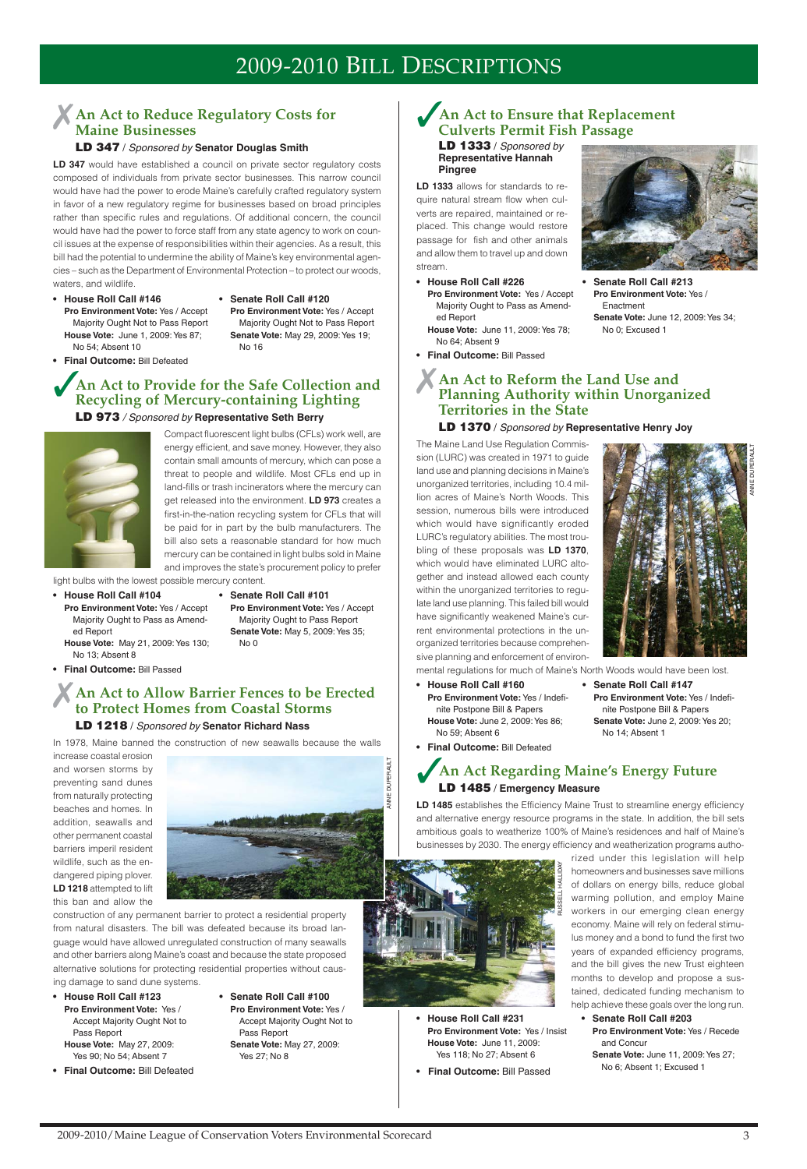## ✗**An Act to Reduce Regulatory Costs for Maine Businesses**

#### **LD 347** / Sponsored by **Senator Douglas Smith**

LD 347 would have established a council on private sector regulatory costs composed of individuals from private sector businesses. This narrow council would have had the power to erode Maine's carefully crafted regulatory system in favor of a new regulatory regime for businesses based on broad principles rather than specific rules and regulations. Of additional concern, the council would have had the power to force staff from any state agency to work on council issues at the expense of responsibilities within their agencies. As a result, this bill had the potential to undermine the ability of Maine's key environmental agencies – such as the Department of Environmental Protection – to protect our woods, waters, and wildlife.

- **House Roll Call #146 Senate Roll Call #120 Pro Environment Vote:** Yes / Accept **Pro Environment Vote:** Yes / Accept **House Vote:** June 1, 2009: Yes 87; **Senate Vote:** May 29, 2009: Yes 19; No 54: Absent 10 No 16
	- Majority Ought Not to Pass Report Majority Ought Not to Pass Report
- **Final Outcome:** Bill Defeated

## ✓**An Act to Provide for the Safe Collection and Recycling of Mercury-containing Lighting LD 973** / Sponsored by **Representative Seth Berry**

Compact fluorescent light bulbs (CFLs) work well, are energy efficient, and save money. However, they also contain small amounts of mercury, which can pose a threat to people and wildlife. Most CFLs end up in land-fills or trash incinerators where the mercury can get released into the environment. **LD 973** creates a first-in-the-nation recycling system for CFLs that will be paid for in part by the bulb manufacturers. The bill also sets a reasonable standard for how much mercury can be contained in light bulbs sold in Maine and improves the state's procurement policy to prefer

light bulbs with the lowest possible mercury content.

- **House Roll Call #104 Senate Roll Call #101**
	- **Pro Environment Vote:** Yes / Accept **Pro Environment Vote:** Yes / Accept Majority Ought to Pass as Amend- Majority Ought to Pass Report ed Report **Senate Vote:** May 5, 2009: Yes 35;
	- **House Vote:** May 21, 2009: Yes 130; No 0 No 13; Absent 8
- **Final Outcome:** Bill Passed

## ✗**An Act to Allow Barrier Fences to be Erected to Protect Homes from Coastal Storms**

#### **LD 1218** / Sponsored by **Senator Richard Nass**

In 1978, Maine banned the construction of new seawalls because the walls

increase coastal erosion and worsen storms by preventing sand dunes from naturally protecting beaches and homes. In addition, seawalls and other permanent coastal barriers imperil resident wildlife, such as the endangered piping plover.

LD 1485 establishes the Efficiency Maine Trust to streamline energy efficiency and alternative energy resource programs in the state. In addition, the bill sets ambitious goals to weatherize 100% of Maine's residences and half of Maine's businesses by 2030. The energy efficiency and weatherization programs autho-



#### **LD 1218** attempted to lift this ban and allow the

construction of any permanent barrier to protect a residential property from natural disasters. The bill was defeated because its broad language would have allowed unregulated construction of many seawalls and other barriers along Maine's coast and because the state proposed alternative solutions for protecting residential properties without causing damage to sand dune systems.

## ✓**An Act to Ensure that Replacement Culverts Permit Fish Passage**

**LD 1333** / Sponsored by **Representative Hannah Pingree**

**LD 1333** allows for standards to require natural stream flow when culverts are repaired, maintained or replaced. This change would restore passage for fish and other animals and allow them to travel up and down stream.

# 2009-2010 BILL DESCRIPTIONS

**• House Roll Call #226 • Senate Roll Call #213 Pro Environment Vote:** Yes / Accept **Pro Environment Vote:** Yes / ed Report **Senate Vote:** June 12, 2009: Yes 34;

- 
- Majority Ought to Pass as Amend- Enactment **House Vote:** June 11, 2009: Yes 78; No 0; Excused 1
- No 64; Absent 9
- **Final Outcome:** Bill Passed



## ✗**An Act to Reform the Land Use and Planning Authority within Unorganized Territories in the State**

**LD 1370** / Sponsored by **Representative Henry Joy**

The Maine Land Use Regulation Commission (LURC) was created in 1971 to guide land use and planning decisions in Maine's unorganized territories, including 10.4 million acres of Maine's North Woods. This session, numerous bills were introduced which would have significantly eroded LURC's regulatory abilities. The most troubling of these proposals was **LD 1370**, which would have eliminated LURC altogether and instead allowed each county within the unorganized territories to regulate land use planning. This failed bill would have significantly weakened Maine's current environmental protections in the unorganized territories because comprehensive planning and enforcement of environ-



- mental regulations for much of Maine's North Woods would have been lost.
- **House Roll Call #160 Senate Roll Call #147 Pro Environment Vote:** Yes / Indefi- **Pro Environment Vote:** Yes / Indefinite Postpone Bill & Papers nite Postpone Bill & Papers **House Vote:** June 2, 2009: Yes 86; **Senate Vote:** June 2, 2009: Yes 20; No 59; Absent 6 No 14; Absent 1
- **Final Outcome:** Bill Defeated

## ✓**An Act Regarding Maine's Energy Future LD 1485** / **Emergency Measure**

rized under this legislation will help homeowners and businesses save millions of dollars on energy bills, reduce global warming pollution, and employ Maine workers in our emerging clean energy economy. Maine will rely on federal stimulus money and a bond to fund the first two years of expanded efficiency programs, and the bill gives the new Trust eighteen months to develop and propose a sustained, dedicated funding mechanism to help achieve these goals over the long run.

- **House Roll Call #123 Pro Environment Vote:** Yes / Accept Majority Ought Not to Pass Report **House Vote:** May 27, 2009: Yes 90; No 54; Absent 7
- **Final Outcome:** Bill Defeated
- **Senate Roll Call #100 Pro Environment Vote:** Yes / Accept Majority Ought Not to Pass Report **Senate Vote:** May 27, 2009: Yes 27; No 8



ANNE DUPERAULT

- **House Roll Call #231 Pro Environment Vote:** Yes / Insist **House Vote:** June 11, 2009: Yes 118; No 27; Absent 6
- 
- **Senate Roll Call #203 Pro Environment Vote:** Yes / Recede and Concur **Senate Vote:** June 11, 2009: Yes 27; No 6; Absent 1; Excused 1 **• Final Outcome:** Bill Passed

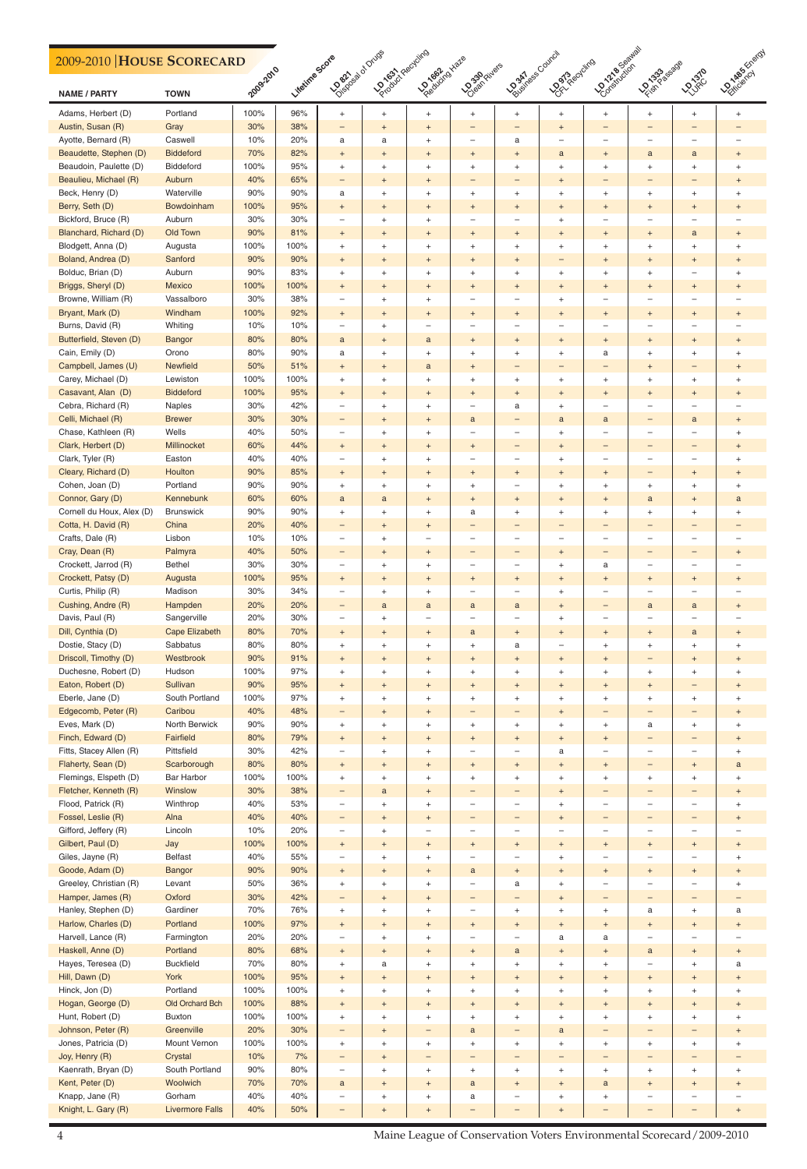## **2009-2010 HOUSE SCORECARD**

| 2009-2010 HOUSE SCORECARD |                       |           |                |                                  |                                  |                                  |                                  |                                  |                                  |                          |                                  |                                  |                                  |
|---------------------------|-----------------------|-----------|----------------|----------------------------------|----------------------------------|----------------------------------|----------------------------------|----------------------------------|----------------------------------|--------------------------|----------------------------------|----------------------------------|----------------------------------|
| <b>NAME / PARTY</b>       | <b>TOWN</b>           | 2009-2010 | Litetine Scote | <b>LOSBATION DIVIDE</b>          | <b>DONOON PROJUITS</b>           | Predictionariale                 | <b>Doah</b> Rivers               | <b>POORTAGE COUNCIL</b>          | <b>Dorc</b> Recycling            | <b>LOONABOOR</b>         | <b>LEASASSESSES</b>              | <b>LOVED</b>                     | <b>LONDON</b> Killard            |
| Adams, Herbert (D)        | Portland              | 100%      | 96%            | $+$                              | $\begin{array}{c} + \end{array}$ | $^{+}$                           | $\ddot{}$                        | $\ddot{}$                        | $+$                              | $+$                      | $^{+}$                           | $\ddot{}$                        | $\ddot{}$                        |
| Austin, Susan (R)         | Gray                  | 30%       | 38%            | -                                | $\ddot{}$                        | $^{+}$                           | —                                | $\qquad \qquad -$                | $^{+}$                           |                          | -                                | -                                |                                  |
| Ayotte, Bernard (R)       | Caswell               | 10%       | 20%            | a                                | a                                | $\begin{array}{c} + \end{array}$ | —                                | a                                | —                                |                          | $\overline{\phantom{m}}$         | $\overline{\phantom{0}}$         |                                  |
| Beaudette, Stephen (D)    | <b>Biddeford</b>      | 70%       | 82%            | $+$                              | $\begin{array}{c} + \end{array}$ | $\begin{array}{c} + \end{array}$ | $+$                              | $\begin{array}{c} + \end{array}$ | a                                | $+$                      | a                                | $\mathbf{a}$                     | $^{+}$                           |
| Beaudoin, Paulette (D)    | Biddeford             | 100%      | 95%            | $\ddot{}$                        | $^{+}$                           | $\ddot{}$                        | $^{+}$                           | $^{+}$                           | $\begin{array}{c} + \end{array}$ | $\ddot{}$                | $^{+}$                           | $\ddot{}$                        | $\ddot{}$                        |
| Beaulieu, Michael (R)     | Auburn                | 40%       | 65%            | -                                | $+$                              | $\begin{array}{c} + \end{array}$ | —                                | $\qquad \qquad -$                | $\ddot{}$                        | -                        | -                                | $\qquad \qquad -$                | $^{+}$                           |
| Beck, Henry (D)           | Waterville            | 90%       | 90%            | a                                | $\ddot{}$                        | $\ddot{}$                        | $^{+}$                           | $\begin{array}{c} + \end{array}$ | $^{+}$                           | $\ddot{}$                | $^{+}$                           | $\ddot{}$                        | $\begin{array}{c} + \end{array}$ |
| Berry, Seth (D)           | Bowdoinham            | 100%      | 95%            | $\begin{array}{c} + \end{array}$ | $^{+}$                           | $\begin{array}{c} + \end{array}$ | $\overline{+}$                   | $^{+}$                           | $\overline{+}$                   | $\ddot{}$                | $\begin{array}{c} + \end{array}$ | $\ddot{}$                        | $^{+}$                           |
| Bickford, Bruce (R)       | Auburn                | 30%       | 30%            | $\overline{\phantom{0}}$         | $\overline{+}$                   | $\ddot{}$                        | —                                | $\overline{\phantom{0}}$         | $\ddot{}$                        | $\overline{\phantom{0}}$ | $\overline{\phantom{0}}$         | $\overbrace{\phantom{12322111}}$ |                                  |
| Blanchard, Richard (D)    | Old Town              | 90%       | 81%            |                                  |                                  |                                  |                                  |                                  |                                  |                          |                                  |                                  |                                  |
| Blodgett, Anna (D)        |                       | 100%      | 100%           | $+$                              | $^{+}$                           | $^{+}$                           | $+$                              | $^{+}$                           | $\ddot{}$                        | $+$                      | $\ddot{}$                        | a                                | $\ddot{}$                        |
|                           | Augusta               | 90%       | 90%            | $^{+}$                           | $\ddot{}$                        | $\begin{array}{c} + \end{array}$ | $\ddot{}$                        | $\ddot{}$                        | $^{+}$                           | $\ddot{}$                | $\begin{array}{c} + \end{array}$ | $\begin{array}{c} + \end{array}$ | $\begin{array}{c} + \end{array}$ |
| Boland, Andrea (D)        | Sanford               |           |                | $+$                              | $\begin{array}{c} + \end{array}$ | $\begin{array}{c} + \end{array}$ | $+$                              | $\begin{array}{c} + \end{array}$ | -                                | $\ddot{}$                | $\ddot{}$                        | $\begin{array}{c} + \end{array}$ | $^{+}$                           |
| Bolduc, Brian (D)         | Auburn                | 90%       | 83%            | $+$                              | $\overline{+}$                   | $\ddot{}$                        | $^{+}$                           | $^{+}$                           | $\begin{array}{c} + \end{array}$ | $\ddot{}$                | $^{+}$                           | $\overbrace{\phantom{12322111}}$ | $+$                              |
| Briggs, Sheryl (D)        | Mexico                | 100%      | 100%           | $+$                              | $\begin{array}{c} + \end{array}$ | $\begin{array}{c} + \end{array}$ | $+$                              | $^{+}$                           | $^{+}$                           | $+$                      | $^{+}$                           | $+$                              | $^{+}$                           |
| Browne, William (R)       | Vassalboro            | 30%       | 38%            | $\qquad \qquad -$                | $\ddot{}$                        | $\ddot{}$                        | —                                | $\qquad \qquad -$                | $\ddot{}$                        | -                        | $\qquad \qquad -$                | $\overline{\phantom{m}}$         |                                  |
| Bryant, Mark (D)          | Windham               | 100%      | 92%            | $+$                              | $^{+}$                           | $\begin{array}{c} + \end{array}$ | $+$                              | $^{+}$                           | $\overline{+}$                   | $\ddot{}$                | $\ddot{}$                        | $\ddot{}$                        | $\,^+$                           |
| Burns, David (R)          | Whiting               | 10%       | 10%            | $\qquad \qquad -$                | $\overline{+}$                   | $\qquad \qquad -$                | —                                | $\overline{\phantom{0}}$         | $\overline{\phantom{0}}$         |                          | $\overline{\phantom{0}}$         | $\overbrace{\phantom{1232211}}$  |                                  |
| Butterfield, Steven (D)   | <b>Bangor</b>         | 80%       | 80%            | a                                | $\begin{array}{c} + \end{array}$ | a                                | $+$                              | $^{+}$                           | $\ddot{}$                        | $+$                      | $\ddot{}$                        | $+$                              | $\ddot{}$                        |
| Cain, Emily (D)           | Orono                 | 80%       | 90%            | а                                | $\ddot{}$                        | $\begin{array}{c} + \end{array}$ | $\ddot{}$                        | $\ddot{}$                        | $\ddot{}$                        | a                        | $\begin{array}{c} + \end{array}$ | $\begin{array}{c} + \end{array}$ | $\begin{array}{c} + \end{array}$ |
| Campbell, James (U)       | <b>Newfield</b>       | 50%       | 51%            | $+$                              | $\begin{array}{c} + \end{array}$ | $\mathbf{a}$                     | $+$                              | -                                | -                                |                          | $\begin{array}{c} + \end{array}$ | $\qquad \qquad -$                | $^{+}$                           |
| Carey, Michael (D)        | Lewiston              | 100%      | 100%           | $+$                              | $\overline{+}$                   | $\ddot{}$                        | $^{+}$                           | $^{+}$                           | $\begin{array}{c} + \end{array}$ | $\ddot{}$                | $^{+}$                           | $^{+}$                           | $\begin{array}{c} + \end{array}$ |
| Casavant, Alan (D)        | <b>Biddeford</b>      | 100%      | 95%            | $+$                              | $\begin{array}{c} + \end{array}$ | $\begin{array}{c} + \end{array}$ | $+$                              | $^{+}$                           | $\ddot{}$                        | $+$                      | $^{+}$                           | $+$                              | $^{+}$                           |
| Cebra, Richard (R)        | Naples                | 30%       | 42%            | $\overline{\phantom{0}}$         | $\ddot{}$                        | $\ddot{}$                        | —                                | a                                | $\ddot{}$                        |                          | $\qquad \qquad -$                | $\overbrace{\phantom{1232211}}$  |                                  |
| Celli, Michael (R)        | <b>Brewer</b>         | 30%       | 30%            | -                                | $\ddot{}$                        | $\begin{array}{c} + \end{array}$ | a                                | -                                | a                                | a                        | -                                | a                                | $^{+}$                           |
| Chase, Kathleen (R)       | Wells                 | 40%       | 50%            | $\qquad \qquad -$                | $\overline{+}$                   | $\ddot{}$                        | —                                | $\qquad \qquad -$                | $\ddot{}$                        |                          | —                                | $\overline{\phantom{0}}$         | $+$                              |
| Clark, Herbert (D)        | Millinocket           | 60%       | 44%            | $+$                              | $\begin{array}{c} + \end{array}$ | $^{+}$                           | $+$                              | $\qquad \qquad -$                | $\ddot{}$                        | -                        | -                                | $\qquad \qquad -$                | $^{+}$                           |
| Clark, Tyler (R)          | Easton                | 40%       | 40%            | $\overline{\phantom{0}}$         | $\ddot{}$                        | $\begin{array}{c} + \end{array}$ | —                                | $\qquad \qquad -$                | $^{+}$                           | -                        | —                                | $\overline{\phantom{0}}$         | $\ddot{}$                        |
| Cleary, Richard (D)       | Houlton               | 90%       | 85%            | $\begin{array}{c} + \end{array}$ | $\ddot{}$                        | $\begin{array}{c} + \end{array}$ | $+$                              | $\ddot{}$                        | $\overline{+}$                   | $\ddot{}$                | -                                | $\begin{array}{c} + \end{array}$ | $\ddot{}$                        |
| Cohen, Joan (D)           | Portland              | 90%       | $90\%$         | $+$                              | $\div$                           | $\ddot{}$                        | $+$                              |                                  | $^{+}$                           | $\ddot{}$                | $+$                              | $\ddot{}$                        | $\ddot{}$                        |
| Connor, Gary (D)          | Kennebunk             | 60%       | 60%            | $\mathsf{a}$                     | $\mathbf{a}$                     | $\begin{array}{c} + \end{array}$ | $+$                              | $^{+}$                           | $\begin{array}{c} + \end{array}$ | $+$                      | $\mathbf{a}$                     | $\begin{array}{c} + \end{array}$ | a                                |
| Cornell du Houx, Alex (D) | <b>Brunswick</b>      | $90%$     | 90%            | $^{+}$                           | $\begin{array}{c} + \end{array}$ | $+$                              | a                                | $\boldsymbol{+}$                 | $^+$                             | $\ddot{}$                | $\begin{array}{c} + \end{array}$ | $\begin{array}{c} + \end{array}$ | $\begin{array}{c} + \end{array}$ |
| Cotta, H. David (R)       | China                 | 20%       | 40%            | -                                | $\begin{array}{c} + \end{array}$ | $\begin{array}{c} + \end{array}$ | —                                | $\overline{\phantom{0}}$         | -                                |                          | -                                | $\qquad \qquad -$                |                                  |
| Crafts, Dale (R)          | Lisbon                | 10%       | 10%            | $\overline{\phantom{0}}$         | $\begin{array}{c} + \end{array}$ | $\overline{\phantom{m}}$         | $\qquad \qquad -$                | $\overline{\phantom{0}}$         | $\qquad \qquad -$                | -                        | $\qquad \qquad -$                | $\overline{\phantom{m}}$         |                                  |
| Cray, Dean (R)            | Palmyra               | 40%       | 50%            | -                                | $\begin{array}{c} + \end{array}$ | $\begin{array}{c} + \end{array}$ | —                                | $\qquad \qquad -$                | $\begin{array}{c} + \end{array}$ | -                        | -                                | $\qquad \qquad -$                | $^{+}$                           |
| Crockett, Jarrod (R)      | Bethel                | $30\%$    | 30%            | $\overline{\phantom{0}}$         | $\begin{array}{c} + \end{array}$ | $^{+}$                           | $\qquad \qquad -$                | $\overline{\phantom{0}}$         | $\begin{array}{c} + \end{array}$ | a                        | $\qquad \qquad -$                | $\overline{\phantom{m}}$         |                                  |
| Crockett, Patsy (D)       | Augusta               | 100%      | 95%            | $+$                              | $\begin{array}{c} + \end{array}$ | $\begin{array}{c} + \end{array}$ | $+$                              | $\begin{array}{c} + \end{array}$ | $\begin{array}{c} + \end{array}$ | $+$                      | $\boldsymbol{+}$                 | $\begin{array}{c} + \end{array}$ | $^{+}$                           |
| Curtis, Philip (R)        | Madison               | 30%       | 34%            | $\overline{\phantom{0}}$         | $\begin{array}{c} + \end{array}$ | $+$                              | -                                | $\qquad \qquad -$                | $\begin{array}{c} + \end{array}$ | $\qquad \qquad -$        | $\qquad \qquad -$                | $\overline{\phantom{m}}$         |                                  |
| Cushing, Andre (R)        | Hampden               | 20%       | 20%            |                                  | a                                | $\mathbf{a}$                     | $\mathbf{a}$                     | $\mathbf{a}$                     | $\begin{array}{c} + \end{array}$ | -                        | $\mathbf{a}$                     | $\mathbf{a}$                     | $^{+}$                           |
| Davis, Paul (R)           | Sangerville           | 20%       | 30%            | -<br>$\overline{\phantom{0}}$    | $\begin{array}{c} + \end{array}$ | $\qquad \qquad -$                | —                                | $\qquad \qquad -$                | $^+$                             | —                        | $\qquad \qquad -$                | $\overline{\phantom{m}}$         |                                  |
| Dill, Cynthia (D)         | <b>Cape Elizabeth</b> | 80%       | 70%            |                                  | $\boldsymbol{+}$                 |                                  |                                  |                                  |                                  |                          | $\boldsymbol{+}$                 | $\mathbf{a}$                     |                                  |
| Dostie, Stacy (D)         | Sabbatus              | 80%       | 80%            | $+$                              |                                  | $\begin{array}{c} + \end{array}$ | a                                | $\begin{array}{c} + \end{array}$ | $\begin{array}{c} + \end{array}$ | $+$                      |                                  |                                  | $^{+}$                           |
|                           |                       |           |                | $^{+}$                           | $\begin{array}{c} + \end{array}$ | $^{+}$                           | $^{+}$                           | a                                | $\qquad \qquad -$                | $\ddot{}$                | $\qquad \qquad +$                | $^{+}$                           | $\begin{array}{c} + \end{array}$ |
| Driscoll, Timothy (D)     | Westbrook             | 90%       | 91%            | $+$                              | $\begin{array}{c} + \end{array}$ | $\begin{array}{c} + \end{array}$ | $+$                              | $\begin{array}{c} + \end{array}$ | $\begin{array}{c} + \end{array}$ | $+$                      | -                                | $\boldsymbol{+}$                 | $\begin{array}{c} + \end{array}$ |
| Duchesne, Robert (D)      | Hudson                | 100%      | 97%            | $^{+}$                           | $\begin{array}{c} + \end{array}$ | $^+$                             | $\begin{array}{c} + \end{array}$ | $\begin{array}{c} + \end{array}$ | $^+$                             | $\ddot{}$                | $\qquad \qquad +$                | $^{+}$                           | $\begin{array}{c} + \end{array}$ |
| Eaton, Robert (D)         | Sullivan              | 90%       | 95%            | $^+$                             | $\begin{array}{c} + \end{array}$ | $\begin{array}{c} + \end{array}$ | $+$                              | $\begin{array}{c} + \end{array}$ | $\begin{array}{c} + \end{array}$ | $+$                      | $\boldsymbol{+}$                 | $\qquad \qquad -$                | $^{+}$                           |
| Eberle, Jane (D)          | South Portland        | 100%      | 97%            | $^{+}$                           | $\begin{array}{c} + \end{array}$ | $+$                              | $^{+}$                           | $\begin{array}{c} + \end{array}$ | $\ddot{}$                        | $+$                      | $\qquad \qquad +$                | $^{+}$                           | $\ddot{}$                        |
| Edgecomb, Peter (R)       | Caribou               | 40%       | 48%            | -                                | $\begin{array}{c} + \end{array}$ | $\begin{array}{c} + \end{array}$ | -                                | -                                | $\begin{array}{c} + \end{array}$ | -                        | -                                | $\qquad \qquad -$                | $^{+}$                           |
| Eves, Mark (D)            | North Berwick         | $90%$     | 90%            | $^{+}$                           | $\begin{array}{c} + \end{array}$ | $^+$                             | $\begin{array}{c} + \end{array}$ | $\begin{array}{c} + \end{array}$ | $\boldsymbol{+}$                 | $\ddot{}$                | a                                | $^{+}$                           | $\begin{array}{c} + \end{array}$ |
| Finch, Edward (D)         | Fairfield             | 80%       | 79%            | $+$                              | $\boldsymbol{+}$                 | $\begin{array}{c} + \end{array}$ | $+$                              | $\boldsymbol{+}$                 | $\boldsymbol{+}$                 | $+$                      | -                                | $\qquad \qquad -$                | $\begin{array}{c} + \end{array}$ |
| Fitts, Stacey Allen (R)   | Pittsfield            | 30%       | 42%            | $\qquad \qquad -$                | $\begin{array}{c} + \end{array}$ | $^{+}$                           | -                                | $\overline{\phantom{m}}$         | a                                | -                        | $\qquad \qquad -$                | $\overline{\phantom{m}}$         | $\ddot{}$                        |
| Flaherty, Sean (D)        | Scarborough           | 80%       | 80%            | $+$                              | $\boldsymbol{+}$                 | $\begin{array}{c} + \end{array}$ | $+$                              | $\begin{array}{c} + \end{array}$ | $\boldsymbol{+}$                 | $+$                      | -                                | $\begin{array}{c} + \end{array}$ | $\mathbf{a}$                     |
| Flemings, Elspeth (D)     | <b>Bar Harbor</b>     | 100%      | 100%           | $^{+}$                           | $\begin{array}{c} + \end{array}$ | $^+$                             | $\begin{array}{c} + \end{array}$ | $\begin{array}{c} + \end{array}$ | $\boldsymbol{+}$                 | $\ddot{}$                | $\boldsymbol{+}$                 | $^{+}$                           | $\begin{array}{c} + \end{array}$ |
| Fletcher, Kenneth (R)     | Winslow               | 30%       | 38%            | -                                | $\mathbf{a}$                     | $\begin{array}{c} + \end{array}$ | —                                | $\qquad \qquad -$                | $\begin{array}{c} + \end{array}$ | -                        | -                                | $\qquad \qquad -$                | $^{+}$                           |
| Flood, Patrick (R)        | Winthrop              | 40%       | 53%            | $\overline{\phantom{m}}$         | $\begin{array}{c} + \end{array}$ | $^{+}$                           | $\qquad \qquad -$                | $\qquad \qquad -$                | $\begin{array}{c} + \end{array}$ | $\qquad \qquad -$        | $\qquad \qquad -$                | $\overline{\phantom{m}}$         | $\ddot{}$                        |
| Fossel, Leslie (R)        | Alna                  | 40%       | 40%            | -                                | $\begin{array}{c} + \end{array}$ | $\begin{array}{c} + \end{array}$ | -                                | $\qquad \qquad -$                | $\begin{array}{c} + \end{array}$ | -                        | -                                | $\qquad \qquad -$                | $\ddot{}$                        |
| Gifford, Jeffery (R)      | Lincoln               | 10%       | 20%            | -                                | $\begin{array}{c} + \end{array}$ | $\qquad \qquad -$                | -                                | $\overline{\phantom{0}}$         | $\qquad \qquad -$                | -                        | $\qquad \qquad -$                | $\overline{\phantom{m}}$         |                                  |
| Gilbert, Paul (D)         | Jay                   | 100%      | 100%           | $+$                              | $\boldsymbol{+}$                 | $\begin{array}{c} + \end{array}$ | $+$                              | $\boldsymbol{+}$                 | $\begin{array}{c} + \end{array}$ | $+$                      | $\boldsymbol{+}$                 | $+$                              | $\begin{array}{c} + \end{array}$ |
| Giles, Jayne (R)          | Belfast               | 40%       | 55%            | -                                | $^{+}$                           | $^{+}$                           | -                                | $\qquad \qquad -$                | $\begin{array}{c} + \end{array}$ | -                        | —                                | $\overline{\phantom{0}}$         | $\ddot{}$                        |
| Goode, Adam (D)           | <b>Bangor</b>         | 90%       | 90%            | $\begin{array}{c} + \end{array}$ | $+$                              | $\begin{array}{c} + \end{array}$ | a                                | $^{+}$                           | $+$                              | $+$                      | $\ddot{}$                        | $+$                              | $\begin{array}{c} + \end{array}$ |

| Greeley, Christian (R) | Levant                 | 50%  | 36%  | $+$                      |     | $\ddot{}$ |     | a                        |                   |                          |                          |                          |                   |
|------------------------|------------------------|------|------|--------------------------|-----|-----------|-----|--------------------------|-------------------|--------------------------|--------------------------|--------------------------|-------------------|
| Hamper, James (R)      | Oxford                 | 30%  | 42%  | $\qquad \qquad -$        | $+$ | $+$       | $-$ | $\qquad \qquad -$        | $+$               | $\overline{\phantom{m}}$ | $\overline{\phantom{0}}$ | $-$                      | $\qquad \qquad -$ |
| Hanley, Stephen (D)    | Gardiner               | 70%  | 76%  | $+$                      | $+$ | $+$       | —   | $+$                      | $+$               | $+$                      | a                        | $+$                      | a                 |
| Harlow, Charles (D)    | Portland               | 100% | 97%  | $+$                      | $+$ | $+$       | $+$ | $+$                      | $+$               | $+$                      | $+$                      | $+$                      | $+$               |
| Harvell, Lance (R)     | Farmington             | 20%  | 20%  | $\overline{\phantom{0}}$ | $+$ | $+$       | —   | $\overline{\phantom{0}}$ | a                 | a                        | $\overline{\phantom{0}}$ |                          |                   |
| Haskell, Anne (D)      | Portland               | 80%  | 68%  | $+$                      | $+$ | $+$       | $+$ | a                        | $+$               | $+$                      | a                        | $+$                      | $+$               |
| Hayes, Teresea (D)     | <b>Buckfield</b>       | 70%  | 80%  | $+$                      | a   | $+$       | $+$ | $+$                      | $+$               | $+$                      | -                        | $\ddot{}$                | a                 |
| Hill, Dawn (D)         | York                   | 100% | 95%  | $+$                      | $+$ | $+$       | $+$ | $+$                      | $+$               | $+$                      | $+$                      | $+$                      | $+$               |
| Hinck, Jon (D)         | Portland               | 100% | 100% | $+$                      | $+$ | $+$       | $+$ | $+$                      | $+$               | $+$                      | $+$                      | $+$                      | $+$               |
| Hogan, George (D)      | Old Orchard Bch        | 100% | 88%  | $+$                      | $+$ | $+$       | $+$ | $+$                      | $+$               | $+$                      | $+$                      | $+$                      | $+$               |
| Hunt, Robert (D)       | <b>Buxton</b>          | 100% | 100% | $+$                      | $+$ | $^{+}$    | $+$ | $+$                      | $\ddot{}$         | $+$                      | $+$                      | $+$                      | $+$               |
| Johnson, Peter (R)     | Greenville             | 20%  | 30%  | $\qquad \qquad -$        | $+$ | -         | a   | -                        | a                 | $\qquad \qquad -$        | $\overline{\phantom{0}}$ | $\overline{\phantom{0}}$ | $+$               |
| Jones, Patricia (D)    | Mount Vernon           | 100% | 100% | $+$                      | $+$ | $+$       | $+$ | $+$                      | $+$               | $+$                      | $+$                      | $+$                      | $+$               |
| Joy, Henry (R)         | Crystal                | 10%  | 7%   | $\qquad \qquad -$        | $+$ | -         | $-$ | $\qquad \qquad -$        | $\qquad \qquad -$ | $\qquad \qquad -$        | -                        |                          |                   |
| Kaenrath, Bryan (D)    | South Portland         | 90%  | 80%  |                          | $+$ | $^{+}$    | $+$ | $+$                      | $+$               | $+$                      | $+$                      | $+$                      | $+$               |
| Kent, Peter (D)        | Woolwich               | 70%  | 70%  | $\mathbf{a}$             | $+$ | $+$       | a   | $+$                      | $+$               | a                        | $+$                      | $+$                      | $+$               |
| Knapp, Jane (R)        | Gorham                 | 40%  | 40%  | $\overline{\phantom{0}}$ | $+$ | $+$       | a   | $\qquad \qquad -$        | $+$               | $+$                      | -                        |                          |                   |
| Knight, L. Gary (R)    | <b>Livermore Falls</b> | 40%  | 50%  | $\qquad \qquad -$        | $+$ | $+$       | —   | $\overline{\phantom{0}}$ | $+$               | $\overline{\phantom{0}}$ |                          |                          | $+$               |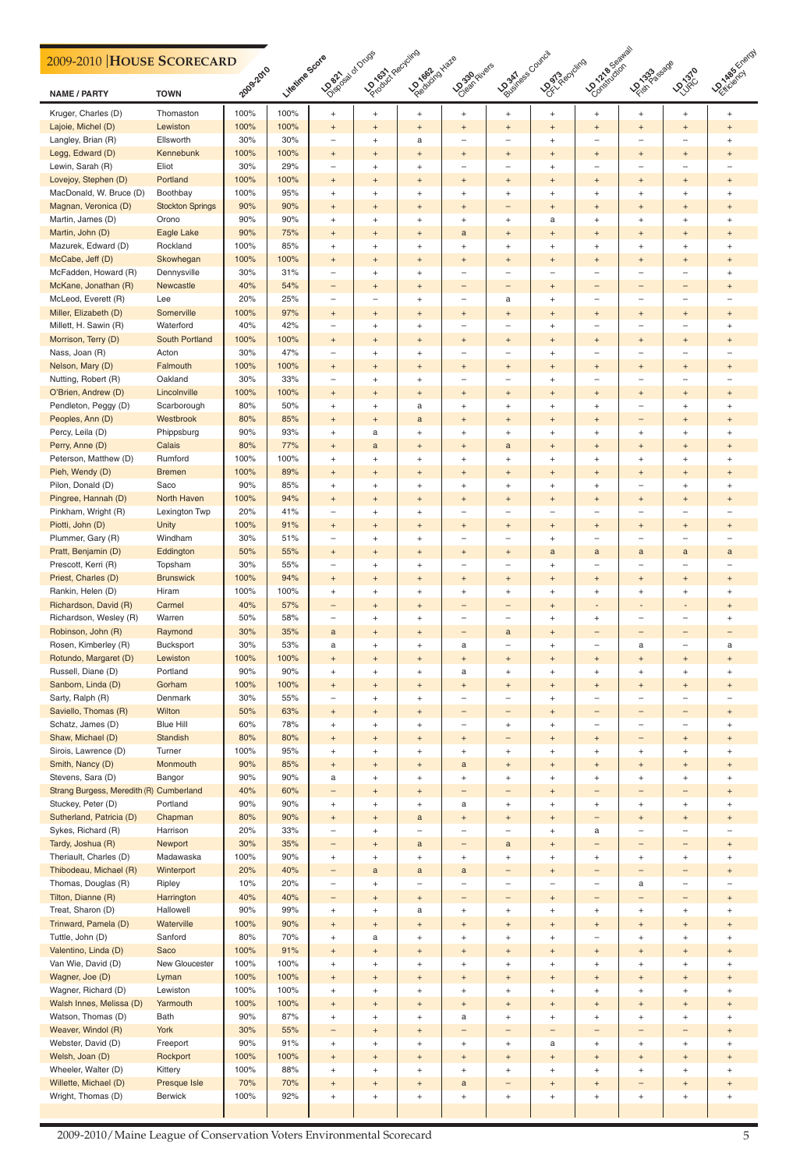2009-2010/Maine League of Conservation Voters Environmental Scorecard <sup>7</sup> 5

| 2009-2010 HOUSE SCORECARD                    |                         |            |                |                                                              | <b>LOOKING CREGISTRIES</b>       | Practice Have                                                        |                                       | <b>POORT</b> ASS COUNCIL           |                                                 | I Contraction Marian                                 |                                               |                                       | <b>LONGIES</b> Energy                      |
|----------------------------------------------|-------------------------|------------|----------------|--------------------------------------------------------------|----------------------------------|----------------------------------------------------------------------|---------------------------------------|------------------------------------|-------------------------------------------------|------------------------------------------------------|-----------------------------------------------|---------------------------------------|--------------------------------------------|
| <b>NAME / PARTY</b>                          | <b>TOWN</b>             | 2009-2010  | Litetine Scote | Osephasta of Drugs                                           |                                  |                                                                      | <b>Dosen</b> Fivers                   |                                    | Dorchestereing                                  |                                                      | <b>LEASASSESSES</b>                           | LOJRO                                 |                                            |
| Kruger, Charles (D)                          | Thomaston               | 100%       | 100%           | $\begin{array}{c} + \end{array}$                             | $+$                              | $+$                                                                  | $+$                                   | $\begin{array}{c} + \end{array}$   | $^{+}$                                          | $+$                                                  | $\ddot{}$                                     | $+$                                   | $+$                                        |
| Lajoie, Michel (D)                           | Lewiston                | 100%       | 100%           | $\begin{array}{c} + \end{array}$                             | $+$                              | $\begin{array}{c} + \end{array}$                                     | $\ddot{}$                             | $^{+}$                             | $\begin{array}{c} + \end{array}$                | $\ddot{}$                                            | $^{+}$                                        | $^{+}$                                | $^{+}$                                     |
| Langley, Brian (R)                           | Ellsworth               | 30%        | 30%            | $\overline{\phantom{0}}$                                     | $^{+}$                           | a                                                                    | -                                     | ÷                                  | $\ddot{}$                                       | $\overline{\phantom{0}}$                             | $\overline{\phantom{0}}$                      | $\overline{\phantom{0}}$              | $^{+}$                                     |
| Legg, Edward (D)                             | Kennebunk               | 100%       | 100%           | $^{\mathrm{+}}$                                              | $+$                              | $\begin{array}{c} + \end{array}$                                     | $\ddot{}$                             | $^{+}$                             | $\begin{array}{c} + \end{array}$                | $\ddot{}$                                            | $\overline{+}$                                | $^{+}$                                | $^{+}$                                     |
| Lewin, Sarah (R)                             | Eliot                   | 30%        | 29%            | $\qquad \qquad -$                                            | $\ddot{}$                        | $\begin{array}{c} + \end{array}$                                     | $\overline{\phantom{0}}$              | ÷                                  | $\ddot{}$                                       | $\overline{\phantom{0}}$                             |                                               |                                       |                                            |
| Lovejoy, Stephen (D)                         | Portland                | 100%       | 100%           | $\begin{array}{c} + \end{array}$                             | $+$                              | $\begin{array}{c} + \end{array}$                                     | $\ddot{}$                             | $^{+}$                             | $+$                                             | $+$                                                  | $\begin{array}{c} + \end{array}$              | $\ddot{}$                             | $^{+}$                                     |
| MacDonald, W. Bruce (D)                      | Boothbay                | 100%       | 95%            | $\begin{array}{c} + \end{array}$                             | $^{+}$                           | $\begin{array}{c} + \end{array}$                                     | $\ddot{}$                             | $\begin{array}{c} + \end{array}$   | $\ddot{}$                                       | $^{+}$                                               | $^{+}$                                        | $\ddot{}$                             | $\ddot{}$                                  |
| Magnan, Veronica (D)                         | <b>Stockton Springs</b> | 90%        | 90%            | $^{\mathrm{+}}$                                              | $+$                              | $\begin{array}{c} + \end{array}$                                     | $\ddot{}$                             | -                                  | $^{+}$                                          | $+$                                                  | $\overline{+}$                                | $^{+}$                                | $\ddot{}$                                  |
| Martin, James (D)                            | Orono                   | 90%        | 90%            | $\begin{array}{c} + \end{array}$                             | $\ddot{}$                        | $\begin{array}{c} + \end{array}$                                     | $\ddot{}$                             | $\begin{array}{c} + \end{array}$   | a                                               | $^{+}$                                               | $^{+}$                                        | $\ddot{}$                             | $\begin{array}{c} + \end{array}$           |
| Martin, John (D)                             | Eagle Lake              | 90%        | 75%            | $^{+}$                                                       | $+$                              | $\begin{array}{c} + \end{array}$                                     | $\mathbf{a}$                          | $^{+}$                             | $+$                                             | $+$                                                  | $\overline{+}$                                | $\ddot{}$                             | $^{+}$                                     |
| Mazurek, Edward (D)                          | Rockland                | 100%       | 85%            | $\begin{array}{c} + \end{array}$                             | $^{+}$                           | $\,$ + $\,$                                                          | $^{+}$                                | $\ddot{}$                          | $\ddot{}$                                       | $^{+}$                                               | $^{+}$                                        | $\ddot{}$                             | $\ddot{}$                                  |
| McCabe, Jeff (D)                             | Skowhegan               | 100%       | 100%           | $\begin{array}{c} + \end{array}$                             | $+$                              | $\begin{array}{c} + \end{array}$                                     | $\ddot{}$                             | $\begin{array}{c} + \end{array}$   | $\begin{array}{c} + \end{array}$                | $+$                                                  | $\overline{+}$                                | $\ddot{}$                             | $^{+}$                                     |
| McFadden, Howard (R)<br>McKane, Jonathan (R) | Dennysville             | 30%        | 31%            | $\overline{\phantom{m}}$                                     | $^{+}$                           | $\begin{array}{c} + \end{array}$                                     | —                                     | $\overline{\phantom{0}}$           | $\overline{\phantom{0}}$                        | $\overline{\phantom{a}}$                             | $\overline{\phantom{0}}$                      |                                       | $\begin{array}{c} + \end{array}$           |
| McLeod, Everett (R)                          | Newcastle<br>Lee        | 40%<br>20% | 54%<br>25%     | $\qquad \qquad -$                                            | $+$                              | $\begin{array}{c} + \end{array}$                                     | -                                     | -                                  | $+$                                             | $\overline{\phantom{0}}$<br>$\overline{\phantom{0}}$ | $\qquad \qquad -$<br>$\overline{\phantom{0}}$ |                                       | $^{+}$                                     |
| Miller, Elizabeth (D)                        | Somerville              | 100%       | 97%            | $\overline{\phantom{m}}$                                     |                                  | $\begin{array}{c} + \end{array}$                                     |                                       | a                                  | $\ddot{}$                                       |                                                      |                                               |                                       |                                            |
| Millett, H. Sawin (R)                        | Waterford               | 40%        | 42%            | $\begin{array}{c} + \end{array}$<br>$\overline{\phantom{m}}$ | $+$                              | $\begin{array}{c} + \end{array}$                                     | $\ddot{}$<br>$\overline{\phantom{0}}$ | $^{+}$<br>÷                        | $^{+}$                                          | $\ddot{}$<br>$\overline{\phantom{a}}$                | $\overline{+}$<br>$\overline{\phantom{0}}$    | $\ddot{}$<br>$\overline{\phantom{0}}$ | $^{+}$<br>$\begin{array}{c} + \end{array}$ |
| Morrison, Terry (D)                          | <b>South Portland</b>   | 100%       | 100%           | $^{+}$                                                       | $^{+}$<br>$+$                    | $\begin{array}{c} + \end{array}$<br>$\begin{array}{c} + \end{array}$ | $\ddot{}$                             | $^{+}$                             | $\begin{array}{c} + \end{array}$<br>$+$         | $\ddot{}$                                            | $^{+}$                                        | $^{+}$                                | $^{+}$                                     |
| Nass, Joan (R)                               | Acton                   | 30%        | 47%            | $\overline{\phantom{0}}$                                     | $^{+}$                           | $\ddot{}$                                                            | -                                     | $\overline{\phantom{0}}$           | $\ddot{}$                                       |                                                      | $\overline{\phantom{0}}$                      |                                       |                                            |
| Nelson, Mary (D)                             | Falmouth                | 100%       | 100%           | $\begin{array}{c} + \end{array}$                             | $+$                              | $\begin{array}{c} + \end{array}$                                     | $\ddot{}$                             | $^{+}$                             | $\begin{array}{c} + \end{array}$                | $\ddot{}$                                            | $\overline{+}$                                | $\ddot{}$                             | $\ddot{}$                                  |
| Nutting, Robert (R)                          | Oakland                 | 30%        | 33%            | $\overline{\phantom{m}}$                                     | $^{+}$                           | $\begin{array}{c} + \end{array}$                                     | $\overline{\phantom{0}}$              | $\overline{\phantom{0}}$           | $\ddot{}$                                       | $\overline{\phantom{a}}$                             | $\overline{\phantom{0}}$                      |                                       |                                            |
| O'Brien, Andrew (D)                          | Lincolnville            | 100%       | 100%           | $\begin{array}{c} + \end{array}$                             | $+$                              | $\begin{array}{c} + \end{array}$                                     | $\ddot{}$                             | $^{+}$                             | $+$                                             | $+$                                                  | $\begin{array}{c} + \end{array}$              | $\ddot{}$                             | $\begin{array}{c} + \end{array}$           |
| Pendleton, Peggy (D)                         | Scarborough             | 80%        | 50%            | $\! + \!\!\!\!$                                              | $^{+}$                           | a                                                                    | $\ddot{}$                             | $\begin{array}{c} + \end{array}$   | $\ddot{}$                                       | $^{+}$                                               | $\overline{\phantom{0}}$                      | $\begin{array}{c} + \end{array}$      | $\ddot{}$                                  |
| Peoples, Ann (D)                             | Westbrook               | 80%        | 85%            | $\begin{array}{c} + \end{array}$                             | $+$                              | a                                                                    | $\ddot{}$                             | $\begin{array}{c} + \end{array}$   | $^{+}$                                          | $+$                                                  | $\qquad \qquad -$                             | $^{+}$                                | $^{+}$                                     |
| Percy, Leila (D)                             | Phippsburg              | 90%        | 93%            | $^{+}$                                                       | a                                | $\begin{array}{c} + \end{array}$                                     | $\ddot{}$                             | $\begin{array}{c} + \end{array}$   | $^{+}$                                          | $\ddot{}$                                            | $\ddot{}$                                     | $^{+}$                                | $\ddot{}$                                  |
| Perry, Anne (D)                              | Calais                  | 80%        | 77%            | $^{+}$                                                       | a                                | $\begin{array}{c} + \end{array}$                                     | $\ddot{}$                             | $\mathbf{a}$                       | $+$                                             | $+$                                                  | $^{+}$                                        | $\ddot{}$                             | $^{+}$                                     |
| Peterson, Matthew (D)                        | Rumford                 | 100%       | 100%           | $\begin{array}{c} + \end{array}$                             | $^{+}$                           | $\begin{array}{c} + \end{array}$                                     | $\ddot{}$                             | $\ddot{}$                          | $\ddot{}$                                       | $^{+}$                                               | $^{+}$                                        | $\ddot{}$                             | $\ddot{}$                                  |
| Pieh, Wendy (D)                              | <b>Bremen</b>           | 100%       | 89%            | $\begin{array}{c} + \end{array}$                             | $+$                              | $\begin{array}{c} + \end{array}$                                     | $\ddot{}$                             | $^{\mathrm{+}}$                    | $\begin{array}{c} + \end{array}$                | $+$                                                  | $^{+}$                                        | $\ddot{}$                             | $\ddot{}$                                  |
| Pilon, Donald (D)                            | Saco                    | 90%        | 85%            | $\overline{+}$                                               | $+$                              | $\ddot{}$                                                            | $^{+}$                                | $\ddot{}$                          | $\ddot{}$                                       | $\overline{+}$                                       |                                               | $\div$                                | $\overline{+}$                             |
| Pingree, Hannah (D)                          | North Haven             | 100%       | 94%            | $\begin{array}{c} + \end{array}$                             | $\ddot{}$                        | $\begin{array}{c} + \end{array}$                                     | $\ddot{}$                             | $^{+}$                             | $\begin{array}{c} + \end{array}$                |                                                      | $\begin{array}{c} + \end{array}$              | $\ddot{}$                             |                                            |
| Pinkham, Wright (R)                          | Lexington Twp           | 20%        | 41%            | $\overline{\phantom{0}}$                                     | $\ddot{}$                        | $\begin{array}{c} + \end{array}$                                     |                                       | $\overline{\phantom{0}}$           | $\overline{\phantom{0}}$                        | $^{+}$                                               |                                               |                                       |                                            |
| Piotti, John (D)                             | Unity                   | 100%       | 91%            |                                                              |                                  |                                                                      |                                       |                                    |                                                 |                                                      |                                               |                                       |                                            |
| Plummer, Gary (R)                            | Windham                 | 30%        | 51%            | $\begin{array}{c} + \end{array}$<br>$\overline{\phantom{m}}$ | $+$                              | $\begin{array}{c} + \end{array}$                                     | $^{+}$<br>—                           | $^{+}$<br>$\overline{\phantom{0}}$ | $\begin{array}{c} + \end{array}$                | $\ddot{}$                                            | $^{+}$<br>$\overline{\phantom{0}}$            | $\ddot{}$                             | $^{+}$                                     |
| Pratt, Benjamin (D)                          | Eddington               | 50%        | 55%            |                                                              | $^{+}$                           | $\begin{array}{c} + \end{array}$                                     |                                       |                                    | $\begin{array}{c} + \end{array}$<br>$\mathbf a$ |                                                      |                                               |                                       |                                            |
| Prescott, Kerri (R)                          | Topsham                 | 30%        | 55%            | $^{+}$<br>$\overline{\phantom{0}}$                           | $+$<br>$^{+}$                    | $\begin{array}{c} + \end{array}$<br>$\begin{array}{c} + \end{array}$ | $^{+}$                                | $^{+}$<br>$\overline{\phantom{0}}$ | $\ddot{}$                                       | a                                                    | a<br>$\overline{\phantom{0}}$                 | a                                     | $\mathsf{a}$                               |
| Priest, Charles (D)                          | <b>Brunswick</b>        | 100%       | 94%            | $\begin{array}{c} + \end{array}$                             | $+$                              | $\begin{array}{c} + \end{array}$                                     | $\ddot{}$                             | $^{+}$                             | $^{\mathrm{+}}$                                 | $\ddot{}$                                            | $^{+}$                                        | $\ddot{}$                             |                                            |
| Rankin, Helen (D)                            | Hiram                   | 100%       | 100%           | $\ddot{}$                                                    | $^{+}$                           | $\begin{array}{c} + \end{array}$                                     | $\ddot{}$                             | $\begin{array}{c} + \end{array}$   | $\begin{array}{c} + \end{array}$                | $\begin{array}{c} + \end{array}$                     | $\ddot{}$                                     | $^{+}$                                | $^{+}$                                     |
| Richardson, David (R)                        | Carmel                  | 40%        | 57%            | -                                                            | $+$                              | $\begin{array}{c} + \end{array}$                                     | -                                     | -                                  | $+$                                             |                                                      | ٠                                             |                                       | $\ddot{}$                                  |
| Richardson, Wesley (R)                       | Warren                  | 50%        | 58%            | $\overline{\phantom{m}}$                                     | $^{+}$                           | $\begin{array}{c} + \end{array}$                                     | —                                     | $\overline{\phantom{0}}$           | $\ddot{}$                                       | $\ddot{}$                                            | $\overline{\phantom{0}}$                      |                                       | $^{+}$                                     |
| Robinson, John (R)                           | Raymond                 | 30%        | 35%            | $\mathbf{a}$                                                 | $+$                              | $\begin{array}{c} + \end{array}$                                     | -                                     | $\mathbf{a}$                       | $^{\mathrm{+}}$                                 | $\qquad \qquad -$                                    | $\qquad \qquad -$                             |                                       |                                            |
| Rosen, Kimberley (R)                         | Bucksport               | 30%        | 53%            | a                                                            | $+$                              | $\begin{array}{c} + \end{array}$                                     | a                                     | $\overline{\phantom{0}}$           | $\begin{array}{c} + \end{array}$                | $\overline{\phantom{m}}$                             | a                                             | $\overline{\phantom{0}}$              | a                                          |
| Rotundo, Margaret (D)                        | Lewiston                | 100%       | 100%           | $^{+}$                                                       | $+$                              | $\begin{array}{c} + \end{array}$                                     | $\ddot{}$                             | $^{+}$                             | $+$                                             | $+$                                                  | $\begin{array}{c} + \end{array}$              | $\ddot{}$                             | $^{+}$                                     |
| Russell, Diane (D)                           | Portland                | 90%        | 90%            | $\ddot{}$                                                    | $^{+}$                           | $\ddot{}$                                                            | a                                     | $^{+}$                             | $\ddot{}$                                       | $^{+}$                                               | $^{+}$                                        | $^{+}$                                | $^{+}$                                     |
| Sanborn, Linda (D)                           | Gorham                  | 100%       | 100%           | $^{+}$                                                       | $+$                              | $\begin{array}{c} + \end{array}$                                     | $\ddot{}$                             | $^{+}$                             | $\begin{array}{c} + \end{array}$                | $+$                                                  | $^{+}$                                        | $\ddot{}$                             |                                            |
| Sarty, Ralph (R)                             | Denmark                 | 30%        | 55%            | $\qquad \qquad -$                                            | $^{+}$                           | $\begin{array}{c} + \end{array}$                                     | —                                     | $\overline{\phantom{0}}$           | $\begin{array}{c} + \end{array}$                |                                                      |                                               |                                       |                                            |
| Saviello, Thomas (R)                         | Wilton                  | 50%        | 63%            | $^{+}$                                                       | $+$                              | $\begin{array}{c} + \end{array}$                                     | -                                     | -                                  | $+$                                             | $\qquad \qquad -$                                    | $\qquad \qquad -$                             |                                       | $^{+}$                                     |
| Schatz, James (D)                            | <b>Blue Hill</b>        | 60%        | 78%            | $\begin{array}{c} + \end{array}$                             | $^{+}$                           | $\begin{array}{c} + \end{array}$                                     | —                                     | $\begin{array}{c} + \end{array}$   | $\begin{array}{c} + \end{array}$                |                                                      | $\overline{\phantom{0}}$                      |                                       | $\ddot{}$                                  |
| Shaw, Michael (D)                            | Standish                | 80%        | 80%            | $^{\mathrm{+}}$                                              | $+$                              | $\begin{array}{c} + \end{array}$                                     | $^{+}$                                | -                                  | $^{\mathrm{+}}$                                 | $\ddot{}$                                            | $\qquad \qquad -$                             | $\ddot{}$                             | $^{+}$                                     |
| Sirois, Lawrence (D)                         | Turner                  | 100%       | 95%            | $^{+}$                                                       | $^{+}$                           | $\begin{array}{c} + \end{array}$                                     | $\ddot{}$                             | $\begin{array}{c} + \end{array}$   | $\begin{array}{c} + \end{array}$                | $^{+}$                                               | $\ddot{}$                                     | $^{+}$                                | $^{+}$                                     |
| Smith, Nancy (D)                             | Monmouth                | 90%        | 85%            | $\begin{array}{c} + \end{array}$                             | $+$                              | $\begin{array}{c} + \end{array}$                                     | $\mathbf{a}$                          | $^{+}$                             | $+$                                             | $+$                                                  | $\begin{array}{c} + \end{array}$              | $\ddot{}$                             | $^{+}$                                     |
| Stevens, Sara (D)                            | Bangor                  | 90%        | 90%            | a                                                            | $^{+}$                           | $\begin{array}{c} + \end{array}$                                     | $\ddot{}$                             | $^{+}$                             | $\ddot{}$                                       | $\qquad \qquad +$                                    | $^{+}$                                        | $^{+}$                                | $^{+}$                                     |
| Strang Burgess, Meredith (R)                 | Cumberland              | 40%        | 60%            | -                                                            | $+$                              | $\begin{array}{c} + \end{array}$                                     | -                                     | -                                  | $^{\mathrm{+}}$                                 |                                                      |                                               |                                       |                                            |
| Stuckey, Peter (D)                           | Portland                | 90%        | 90%            | $\begin{array}{c} + \end{array}$                             | $^{+}$                           | $\begin{array}{c} + \end{array}$                                     | a                                     | $\begin{array}{c} + \end{array}$   | $\begin{array}{c} + \end{array}$                | $^{+}$                                               | $\ddot{}$                                     | $^{+}$                                | $^{+}$                                     |
| Sutherland, Patricia (D)                     | Chapman                 | 80%        | 90%            | $\begin{array}{c} + \end{array}$                             | $+$                              | $\mathbf{a}$                                                         | $\ddot{}$                             | $^{+}$                             | $+$                                             |                                                      | $\begin{array}{c} + \end{array}$              | $^{+}$                                | $\ddot{}$                                  |
| Sykes, Richard (R)                           | Harrison                | 20%        | 33%            | $\overline{\phantom{m}}$                                     | $^{+}$                           |                                                                      | —                                     | $\overline{\phantom{0}}$           | $\ddot{}$                                       | a                                                    | $\overline{\phantom{0}}$                      |                                       |                                            |
| Tardy, Joshua (R)                            | Newport                 | 30%        | 35%            | $\qquad \qquad -$                                            | $+$                              | $\mathbf{a}$                                                         | -                                     | $\mathbf a$                        | $^{\mathrm{+}}$                                 |                                                      | $\qquad \qquad -$                             | $\overline{\phantom{0}}$              | $^{+}$                                     |
| Theriault, Charles (D)                       | Madawaska               | 100%       | 90%            | $^{+}$                                                       | $^{+}$                           | $\begin{array}{c} + \end{array}$                                     | $\ddot{}$                             | $^{+}$                             | $\begin{array}{c} + \end{array}$                | $^{+}$                                               | $\ddot{}$                                     | $^{+}$                                | $+$                                        |
| Thibodeau, Michael (R)                       | Winterport              | 20%        | 40%            | -                                                            | a                                | $\mathbf{a}$                                                         | $\mathbf{a}$                          | -                                  | $+$                                             | $\qquad \qquad -$                                    | $\qquad \qquad -$                             | -                                     | $+$                                        |
| Thomas, Douglas (R)                          | Ripley                  | 10%        | 20%            | $\qquad \qquad -$                                            | $^{+}$                           |                                                                      |                                       | $\overline{\phantom{0}}$           | $\overline{\phantom{0}}$                        | $\overline{\phantom{m}}$                             | a                                             |                                       |                                            |
| Tilton, Dianne (R)                           | Harrington              | 40%        | 40%            | -                                                            | $+$                              | $\begin{array}{c} + \end{array}$                                     | -                                     | -                                  | $^{+}$                                          |                                                      |                                               |                                       |                                            |
| Treat, Sharon (D)                            | Hallowell               | 90%        | 99%            | $^{+}$                                                       | $^{+}$                           | a                                                                    | $\ddot{}$                             | $^{+}$                             | $^{+}$                                          | $^{+}$                                               | $\ddot{}$                                     | $^{+}$                                | $\ddot{}$                                  |
| Trinward, Pamela (D)                         | Waterville              | 100%       | 90%            | $\begin{array}{c} + \end{array}$                             | $+$                              | $^{+}$                                                               | $\ddot{}$                             | $\overline{+}$                     | $\begin{array}{c} + \end{array}$                | $^{+}$                                               | $\begin{array}{c} + \end{array}$              | $\ddot{}$                             | $^{+}$                                     |
| Tuttle, John (D)                             | Sanford                 | 80%        | 70%            | $\begin{array}{c} + \end{array}$                             | a                                | $\begin{array}{c} + \end{array}$                                     | $\ddot{}$                             | $^{+}$                             | $\begin{array}{c} + \end{array}$                |                                                      | $\begin{array}{c} + \end{array}$              | $\ddot{}$                             |                                            |
| Valentino, Linda (D)                         | Saco                    | 100%       | 91%            | $\begin{array}{c} + \end{array}$                             | $+$                              | $\boldsymbol{+}$                                                     | $^{+}$                                | $^{\mathrm{+}}$                    | $+$                                             | $^{+}$                                               | $\ddot{}$                                     | $+$                                   | $^{+}$                                     |
| Van Wie, David (D)                           | New Gloucester          | 100%       | 100%           | $\begin{array}{c} + \end{array}$                             | $+$                              | $^{+}$                                                               | $^{+}$                                | $\begin{array}{c} + \end{array}$   | $^{+}$                                          | $\begin{array}{c} + \end{array}$                     | $\ddot{}$                                     | $^{+}$                                | $^{+}$                                     |
| Wagner, Joe (D)                              | Lyman                   | 100%       | 100%           | $^{+}$                                                       | $\begin{array}{c} + \end{array}$ | $\begin{array}{c} + \end{array}$                                     | $\begin{array}{c} + \end{array}$      | $^{\mathrm{+}}$                    | $+$                                             | $\ddot{}$                                            | $\begin{array}{c} + \end{array}$              | $+$                                   | $\begin{array}{c} + \end{array}$           |
| Wagner, Richard (D)                          | Lewiston                | 100%       | 100%           | $\begin{array}{c} + \end{array}$                             | $^{+}$                           | $\begin{array}{c} + \end{array}$                                     | $^{+}$                                | $^{+}$                             | $\begin{array}{c} + \end{array}$                | $\qquad \qquad +$                                    | $^+$                                          | $^{+}$                                | $\begin{array}{c} + \end{array}$           |
| Walsh Innes, Melissa (D)                     | Yarmouth                | 100%       | 100%           | $\begin{array}{c} + \end{array}$                             | $+$                              | $\boldsymbol{+}$                                                     | $\begin{array}{c} + \end{array}$      | $^{\mathrm{+}}$                    | $\begin{array}{c} + \end{array}$                | $\begin{array}{c} + \end{array}$                     | $\begin{array}{c} + \end{array}$              | $\ddot{}$                             | $^{+}$                                     |
| Watson, Thomas (D)                           | Bath                    | 90%        | 87%            | $\begin{array}{c} + \end{array}$                             | $+$                              | $^+$                                                                 | a                                     | $\begin{array}{c} + \end{array}$   | $^{+}$                                          | $\begin{array}{c} + \end{array}$                     | $\ddot{}$                                     | $^{+}$                                | $\begin{array}{c} + \end{array}$           |
| Weaver, Windol (R)                           | York                    | 30%        | 55%            | -                                                            | $+$                              | $\begin{array}{c} + \end{array}$                                     | -                                     | -                                  | $\qquad \qquad -$                               | $\qquad \qquad -$                                    | $\qquad \qquad -$                             | -                                     | $\begin{array}{c} + \end{array}$           |
| Webster, David (D)                           | Freeport                | 90%        | 91%            | $\begin{array}{c} + \end{array}$                             | $+$                              | $^+$                                                                 | $^{+}$                                | $\begin{array}{c} + \end{array}$   | a                                               | $\begin{array}{c} + \end{array}$                     | $^+$                                          | $^{+}$                                | $\begin{array}{c} + \end{array}$           |
| Welsh, Joan (D)                              | Rockport                | 100%       | 100%           | $\begin{array}{c} + \end{array}$                             | $\begin{array}{c} + \end{array}$ | $\begin{array}{c} + \end{array}$                                     | $^{+}$                                | $^{\mathrm{+}}$                    | $+$                                             | $^{+}$                                               | $\begin{array}{c} + \end{array}$              | $\ddot{}$                             | $^{+}$                                     |
| Wheeler, Walter (D)                          | Kittery                 | 100%       | 88%            | $^{+}$                                                       | $+$                              | $^{+}$                                                               | $^{+}$                                | $\begin{array}{c} + \end{array}$   | $^{+}$                                          | $\begin{array}{c} + \end{array}$                     | $\ddot{}$                                     | $^{+}$                                | $^{+}$                                     |
| Willette, Michael (D)                        | Presque Isle            | 70%        | 70%            | $^{+}$                                                       | $+$                              | $^{\mathrm{+}}$                                                      | $\mathbf{a}$                          | $\qquad \qquad -$                  | $+$                                             | $^{+}$                                               | $\qquad \qquad -$                             | $+$                                   | $\begin{array}{c} + \end{array}$           |
| Wright, Thomas (D)                           | Berwick                 | 100%       | 92%            | $\boldsymbol{+}$                                             | $+$                              | $\begin{array}{c} + \end{array}$                                     | $^{+}$                                | $\begin{array}{c} + \end{array}$   | $^+$                                            | $\begin{array}{c} + \end{array}$                     | $^{\mathrm{+}}$                               | $^{+}$                                | $\begin{array}{c} + \end{array}$           |
|                                              |                         |            |                |                                                              |                                  |                                                                      |                                       |                                    |                                                 |                                                      |                                               |                                       |                                            |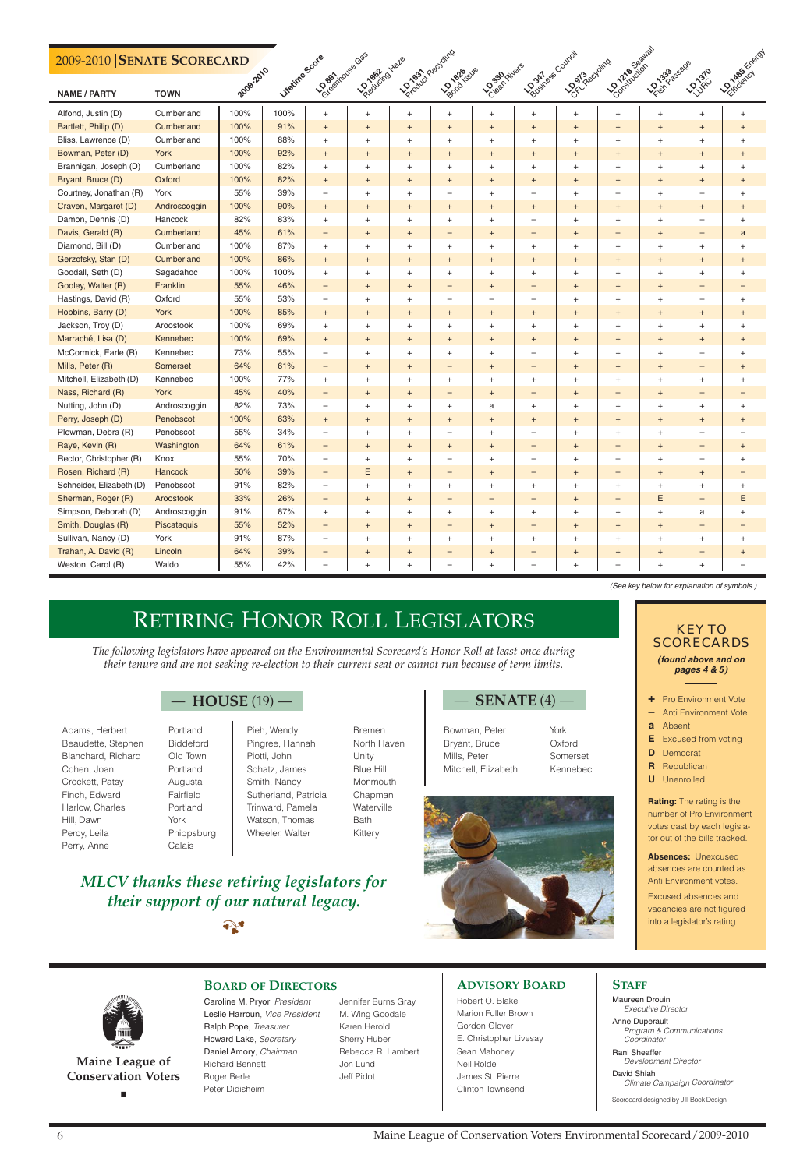# RETIRING HONOR ROLL LEGISLATORS

#### **ADVISORY BOARD**

Robert O. Blake Marion Fuller Brown Gordon Glover E. Christopher Livesay Sean Mahoney Neil Rolde James St. Pierre Clinton Townsend

#### **STAFF**

Maureen Drouin Executive Director

Anne Duperault Program & Communications Coordinator

Rani Sheaffer Development Director

David Shiah Climate Campaign Coordinator

Scorecard designed by Jill Bock Design

**Maine League of Conservation Voters** ■

#### **BOARD OF DIRECTORS**

Caroline M. Pryor, President Leslie Harroun, Vice President Ralph Pope, Treasurer Howard Lake, Secretary Daniel Amory, Chairman Richard Bennett Roger Berle Peter Didisheim

Jennifer Burns Gray M. Wing Goodale Karen Herold Sherry Huber Rebecca R. Lambert Jon Lund Jeff Pidot

# *MLCV thanks these retiring legislators for their support of our natural legacy.*

 $\sum_{i=1}^{n}$ 



**Rating:** The rating is the number of Pro Environment votes cast by each legislator out of the bills tracked.

**Absences:** Unexcused absences are counted as Anti Environment votes.

Excused absences and vacancies are not figured into a legislator's rating.



- **+** Pro Environment Vote
- **–** Anti Environment Vote
- **a** Absent
- **E** Excused from voting
- **D** Democrat
- **R** Republican
- **U** Unenrolled

### *KEY TO SCORECARDS*

#### **(found above and on pages 4 & 5)**

*The following legislators have appeared on the Environmental Scorecard's Honor Roll at least once during their tenure and are not seeking re-election to their current seat or cannot run because of term limits.*

## — **HOUSE** (19) — — **SENATE** (4) —

- Adams, Herbert Portland Beaudette, Stephen Biddeford Blanchard, Richard Old Town Cohen, Joan Portland Crockett, Patsy Augusta Finch, Edward Fairfield Harlow, Charles Portland Hill, Dawn York Percy, Leila Phippsburg Perry, Anne Calais
- 
- Pieh, Wendy Bremen Pingree, Hannah North Haven Piotti, John Unity Schatz, James Blue Hill Smith, Nancy Monmouth Sutherland, Patricia Chapman Trinward, Pamela Waterville Watson, Thomas Bath Wheeler, Walter **Kittery**

- Bowman, Peter York Bryant, Bruce Oxford Mills, Peter Somerset Mitchell, Elizabeth Kennebec
	-



#### **2009-2010 SENATE SCORECARD**

| 2009-2010 SENATE SCORECARD |              |           |                |                                  |                                  |                                  |                                  |                                  |                                  |                                  |                    |                                  |              |                                  |
|----------------------------|--------------|-----------|----------------|----------------------------------|----------------------------------|----------------------------------|----------------------------------|----------------------------------|----------------------------------|----------------------------------|--------------------|----------------------------------|--------------|----------------------------------|
| <b>NAME / PARTY</b>        | <b>TOWN</b>  | Rogerzoro | Lifetine Scote | US Bashinouse Case               | Independence Haze                | <b>LONGAILTEENING</b>            | <b>DONBRAC</b> SUE               | <b>Josephineis</b>               | <b>P.S.A.</b> Bescound           | <b>OSTRegions</b>                | I Joseph's Booking | <b>LEASASSES</b>                 | <b>LOVED</b> | LE Messicology                   |
| Alfond, Justin (D)         | Cumberland   | 100%      | 100%           | $\begin{array}{c} + \end{array}$ | $+$                              | $+$                              | $\begin{array}{c} + \end{array}$ | $+$                              | $+$                              | $\ddot{}$                        | $\ddot{}$          | $\ddot{}$                        | $+$          | $\ddot{}$                        |
| Bartlett, Philip (D)       | Cumberland   | 100%      | 91%            | $\begin{array}{c} + \end{array}$ | $+$                              | $+$                              | $\ddot{}$                        | $+$                              | $\begin{array}{c} + \end{array}$ | $+$                              | $+$                | $\begin{array}{c} + \end{array}$ | $^{+}$       | $^{+}$                           |
| Bliss, Lawrence (D)        | Cumberland   | 100%      | 88%            | $\! + \!\!\!\!$                  | $+$                              | $\ddot{}$                        | $\ddot{}$                        | $\overline{+}$                   | $\begin{array}{c} + \end{array}$ | $+$                              | $\ddot{}$          | $\ddot{}$                        | $\ddot{}$    | $\qquad \qquad +$                |
| Bowman, Peter (D)          | York         | 100%      | 92%            | $\begin{array}{c} + \end{array}$ | $+$                              | $\ddot{}$                        | $\begin{array}{c} + \end{array}$ | $^{+}$                           | $\ddot{}$                        | $\begin{array}{c} + \end{array}$ | $+$                | $\begin{array}{c} + \end{array}$ | $\ddot{}$    | $\begin{array}{c} + \end{array}$ |
| Brannigan, Joseph (D)      | Cumberland   | 100%      | 82%            | $\begin{array}{c} + \end{array}$ | $+$                              | $\ddot{}$                        | $\begin{array}{c} + \end{array}$ | $\ddot{}$                        | $\ddot{}$                        | $\overline{+}$                   | $\ddot{}$          | $\begin{array}{c} + \end{array}$ | $^{+}$       | $\begin{array}{c} + \end{array}$ |
| Bryant, Bruce (D)          | Oxford       | 100%      | 82%            | $\begin{array}{c} + \end{array}$ | $+$                              | $+$                              | $\begin{array}{c} + \end{array}$ | $+$                              | $\begin{array}{c} + \end{array}$ | $+$                              | $+$                | $\begin{array}{c} + \end{array}$ | $+$          | $\begin{array}{c} + \end{array}$ |
| Courtney, Jonathan (R)     | York         | 55%       | 39%            | $\overline{\phantom{0}}$         | $+$                              | $\begin{array}{c} + \end{array}$ | $\qquad \qquad -$                | $\ddot{}$                        | $\overline{\phantom{0}}$         | $\overline{+}$                   |                    | $+$                              |              | $\qquad \qquad +$                |
| Craven, Margaret (D)       | Androscoggin | 100%      | 90%            | $\begin{array}{c} + \end{array}$ | $+$                              | $+$                              | $\ddot{}$                        | $^{+}$                           | $\begin{array}{c} + \end{array}$ | $+$                              | $+$                | $\begin{array}{c} + \end{array}$ | $^{+}$       | $\ddot{}$                        |
| Damon, Dennis (D)          | Hancock      | 82%       | 83%            | $\begin{array}{c} + \end{array}$ | $+$                              | $\ddot{}$                        | $\begin{array}{c} + \end{array}$ | $\ddot{}$                        | -                                | $+$                              | $\ddot{}$          | $\begin{array}{c} + \end{array}$ |              | $\begin{array}{c} + \end{array}$ |
| Davis, Gerald (R)          | Cumberland   | 45%       | 61%            | -                                | $+$                              | $\ddot{}$                        | -                                | $+$                              | -                                | $\ddot{}$                        | $\qquad \qquad -$  | $\ddot{}$                        |              | $\mathbf{a}$                     |
| Diamond, Bill (D)          | Cumberland   | 100%      | 87%            | $\begin{array}{c} + \end{array}$ | $+$                              | $\ddot{}$                        | $\begin{array}{c} + \end{array}$ | $\ddot{}$                        | $\begin{array}{c} + \end{array}$ | $+$                              | $\ddot{}$          | $\ddot{}$                        | $^{+}$       | $\begin{array}{c} + \end{array}$ |
| Gerzofsky, Stan (D)        | Cumberland   | 100%      | 86%            | $\begin{array}{c} + \end{array}$ | $+$                              | $\ddot{}$                        | $\begin{array}{c} + \end{array}$ | $^{+}$                           | $\begin{array}{c} + \end{array}$ | $+$                              | $+$                | $\begin{array}{c} + \end{array}$ | $\ddot{}$    | $\begin{array}{c} + \end{array}$ |
| Goodall, Seth (D)          | Sagadahoc    | 100%      | 100%           | $\begin{array}{c} + \end{array}$ | $+$                              | $\ddot{}$                        | $\begin{array}{c} + \end{array}$ | $\ddot{}$                        | $^{+}$                           | $\overline{+}$                   | $\ddot{}$          | $\begin{array}{c} + \end{array}$ | $^{+}$       | $\begin{array}{c} + \end{array}$ |
| Gooley, Walter (R)         | Franklin     | 55%       | 46%            | -                                | $+$                              | $+$                              | -                                | $^{+}$                           | -                                | $+$                              | $+$                | $\begin{array}{c} + \end{array}$ |              | $\qquad \qquad -$                |
| Hastings, David (R)        | Oxford       | 55%       | 53%            | $\overline{\phantom{0}}$         | $+$                              | $\ddot{}$                        | $\qquad \qquad -$                | $\overline{\phantom{0}}$         | -                                | $+$                              | $\ddot{}$          | $\begin{array}{c} + \end{array}$ | —            | $\qquad \qquad +$                |
| Hobbins, Barry (D)         | York         | 100%      | 85%            | $\begin{array}{c} + \end{array}$ | $+$                              | $+$                              | $\ddot{}$                        | $^{+}$                           | $\begin{array}{c} + \end{array}$ | $+$                              | $+$                | $\begin{array}{c} + \end{array}$ | $^{+}$       | $^{+}$                           |
| Jackson, Troy (D)          | Aroostook    | 100%      | 69%            | $\begin{array}{c} + \end{array}$ | $+$                              | $\ddot{}$                        | $\ddot{}$                        | $\ddot{}$                        | $\ddot{}$                        | $\overline{+}$                   | $\ddot{}$          | $\ddot{}$                        | $+$          | $\begin{array}{c} + \end{array}$ |
| Marraché, Lisa (D)         | Kennebec     | 100%      | 69%            | $\begin{array}{c} + \end{array}$ | $+$                              | $+$                              | $\ddot{}$                        | $+$                              | $\begin{array}{c} + \end{array}$ | $+$                              | $+$                | $+$                              | $+$          | $\begin{array}{c} + \end{array}$ |
| McCormick, Earle (R)       | Kennebec     | 73%       | 55%            | $\overline{\phantom{0}}$         | $+$                              | $\ddot{}$                        | $\ddot{}$                        | $\overline{+}$                   | -                                | $+$                              | $\ddot{}$          | $\ddot{}$                        |              | $\qquad \qquad +$                |
| Mills, Peter (R)           | Somerset     | 64%       | 61%            | -                                | $+$                              | $+$                              | -                                | $^{+}$                           | -                                | $+$                              | $+$                | $\begin{array}{c} + \end{array}$ |              | $\begin{array}{c} + \end{array}$ |
| Mitchell, Elizabeth (D)    | Kennebec     | 100%      | 77%            | $\begin{array}{c} + \end{array}$ | $+$                              | $\ddot{}$                        | $\ddot{}$                        | $\ddot{}$                        | $\ddot{}$                        | $\overline{+}$                   | $\ddot{}$          | $\ddot{}$                        | $+$          | $\ddot{}$                        |
| Nass, Richard (R)          | York         | 45%       | 40%            | -                                | $+$                              | $+$                              | -                                | $+$                              | -                                | $+$                              | -                  | $\ddot{}$                        |              | $\qquad \qquad -$                |
| Nutting, John (D)          | Androscoggin | 82%       | 73%            | $\overline{\phantom{0}}$         | $+$                              | $\qquad \qquad +$                | $\boldsymbol{+}$                 | a                                | $\begin{array}{c} + \end{array}$ | $+$                              | $\ddot{}$          | $\begin{array}{c} + \end{array}$ | $^{+}$       | $\qquad \qquad +$                |
| Perry, Joseph (D)          | Penobscot    | 100%      | 63%            | $\begin{array}{c} + \end{array}$ | $+$                              | $+$                              | $\begin{array}{c} + \end{array}$ | $^{+}$                           | $\begin{array}{c} + \end{array}$ | $+$                              | $+$                | $\begin{array}{c} + \end{array}$ | $^{+}$       | $^{+}$                           |
| Plowman, Debra (R)         | Penobscot    | 55%       | 34%            | $\qquad \qquad -$                | $+$                              | $\qquad \qquad +$                | $\qquad \qquad -$                | $\ddot{}$                        | -                                | $\ddot{}$                        | $\ddot{}$          | $\ddot{}$                        |              |                                  |
| Raye, Kevin (R)            | Washington   | 64%       | 61%            | -                                | $+$                              | $+$                              | $\ddot{}$                        | $+$                              | -                                | $+$                              | -                  | $\ddot{}$                        | -            | $^{+}$                           |
| Rector, Christopher (R)    | Knox         | 55%       | 70%            | $\overline{\phantom{0}}$         | $+$                              | $\ddot{}$                        | —                                | $\ddot{}$                        | -                                | $+$                              |                    | $\begin{array}{c} + \end{array}$ |              | $\qquad \qquad +$                |
| Rosen, Richard (R)         | Hancock      | 50%       | 39%            | -                                | Ε                                | $+$                              | -                                | $^{+}$                           | -                                | $+$                              |                    | $\begin{array}{c} + \end{array}$ | $^{+}$       |                                  |
| Schneider, Elizabeth (D)   | Penobscot    | 91%       | 82%            | $\overline{\phantom{0}}$         | $+$                              | $\overline{+}$                   | $+$                              | $+$                              | $^{+}$                           | $+$                              | $\ddot{}$          | $\ddot{}$                        | $+$          | $\overline{+}$                   |
| Sherman, Roger (R)         | Aroostook    | 33%       | 26%            | -                                | $+$                              | $\begin{array}{c} + \end{array}$ | -                                | -                                |                                  | $^{+}$                           | -                  | Ε                                | -            | Е                                |
| Simpson, Deborah (D)       | Androscoggin | 91%       | 87%            | $\boldsymbol{+}$                 | $\begin{array}{c} + \end{array}$ | $\begin{array}{c} + \end{array}$ | $^{+}$                           | $^{+}$                           | $\begin{array}{c} + \end{array}$ | $\begin{array}{c} + \end{array}$ | $^{+}$             | $\, +$                           | a            | $^{+}$                           |
| Smith, Douglas (R)         | Piscataquis  | 55%       | 52%            | -                                | $+$                              | $\begin{array}{c} + \end{array}$ | -                                | $+$                              |                                  | $+$                              | $+$                | $\begin{array}{c} + \end{array}$ |              |                                  |
| Sullivan, Nancy (D)        | York         | 91%       | 87%            | $\qquad \qquad -$                | $\begin{array}{c} + \end{array}$ | $\begin{array}{c} + \end{array}$ | $^{+}$                           | $^{+}$                           | $\begin{array}{c} + \end{array}$ | $^{+}$                           | $^{+}$             | $\begin{array}{c} + \end{array}$ | $+$          | $\ddot{}$                        |
| Trahan, A. David (R)       | Lincoln      | 64%       | 39%            | -                                | $+$                              | $\begin{array}{c} + \end{array}$ | -                                | $+$                              |                                  | $^{+}$                           | $+$                | $\begin{array}{c} + \end{array}$ |              | $\ddot{}$                        |
| Weston, Carol (R)          | Waldo        | 55%       | 42%            | $\overline{\phantom{0}}$         | $\begin{array}{c} + \end{array}$ |                                  | $\overline{\phantom{0}}$         | $\begin{array}{c} + \end{array}$ |                                  | $^{+}$                           |                    | $\, +$                           | $^{+}$       |                                  |

(See key below for explanation of symbols.)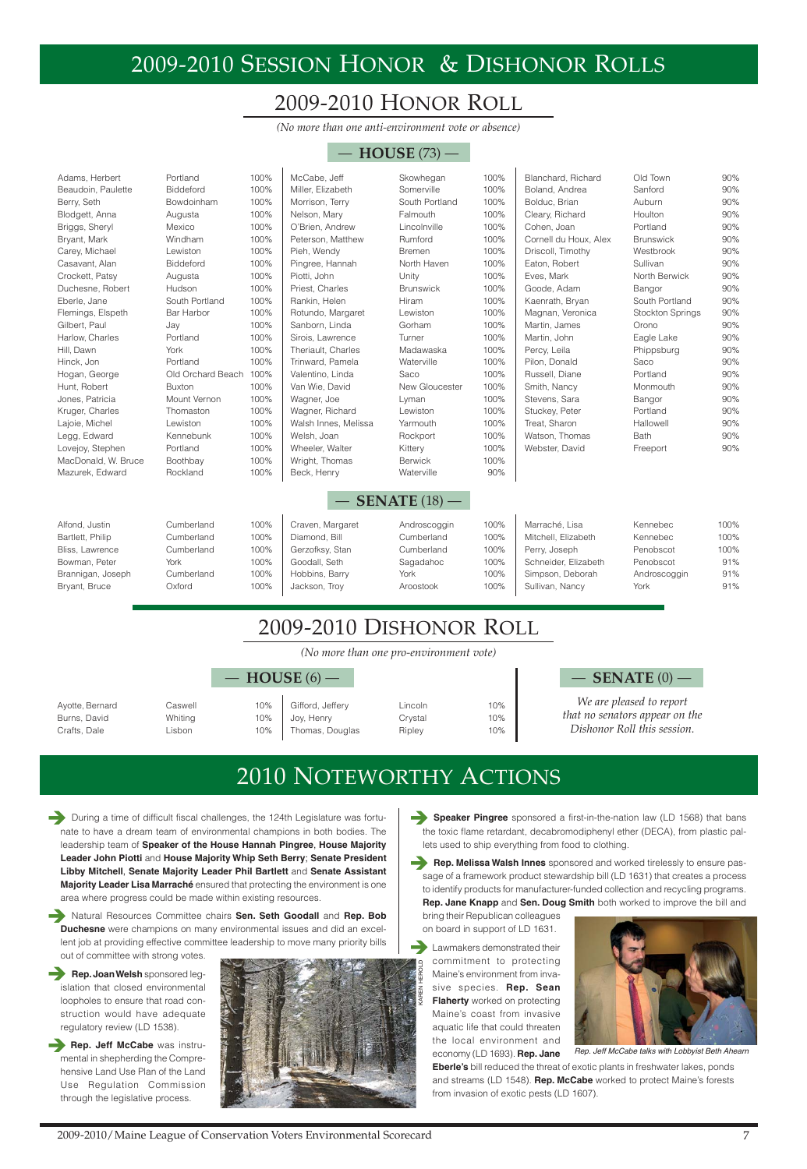**EXECUTE:** During a time of difficult fiscal challenges, the 124th Legislature was fortunate to have a dream team of environmental champions in both bodies. The leadership team of **Speaker of the House Hannah Pingree**, **House Majority Leader John Piotti** and **House Majority Whip Seth Berry**; **Senate President Libby Mitchell**, **Senate Majority Leader Phil Bartlett** and **Senate Assistant Majority Leader Lisa Marraché** ensured that protecting the environment is one

**Natural Resources Committee chairs Sen. Seth Goodall and Rep. Bob Duchesne** were champions on many environmental issues and did an excellent job at providing effective committee leadership to move many priority bills out of committee with strong votes.

**Rep. Joan Welsh** sponsored legislation that closed environmental loopholes to ensure that road construction would have adequate regulatory review (LD 1538).

area where progress could be made within existing resources.

**Rep. Jeff McCabe** was instrumental in shepherding the Comprehensive Land Use Plan of the Land Use Regulation Commission through the legislative process.



- **Speaker Pingree** sponsored a first-in-the-nation law (LD 1568) that bans the toxic flame retardant, decabromodiphenyl ether (DECA), from plastic pallets used to ship everything from food to clothing.
- **Rep. Melissa Walsh Innes** sponsored and worked tirelessly to ensure passage of a framework product stewardship bill (LD 1631) that creates a process

to identify products for manufacturer-funded collection and recycling programs. **Rep. Jane Knapp** and **Sen. Doug Smith** both worked to improve the bill and

bring their Republican colleagues on board in support of LD 1631.

# 2010 NOTEWORTHY ACTIONS



Rep. Jeff McCabe talks with Lobbyist Beth Ahearn

# 2009-2010 SESSION HONOR & DISHONOR ROLLS

*(No more than one anti-environment vote or absence)*

# 2009-2010 HONOR ROLL

Lawmakers demonstrated their commitment to protecting Maine's environment from invasive species. **Rep. Sean Flaherty** worked on protecting Maine's coast from invasive aquatic life that could threaten the local environment and economy (LD 1693). **Rep. Jane**

- Joy, Henry Crystal 10% Thomas, Douglas Ripley 10%
- Gifford, Jeffery Lincoln 10%

| Adams, Herbert      | Portland          | 100% | McCabe, Jeff         | Skowhegan              | 100% | Blanchard, Richard    | Old Town         | 90%  |
|---------------------|-------------------|------|----------------------|------------------------|------|-----------------------|------------------|------|
| Beaudoin, Paulette  | <b>Biddeford</b>  | 100% | Miller, Elizabeth    | Somerville             | 100% | Boland, Andrea        | Sanford          | 90%  |
| Berry, Seth         | Bowdoinham        | 100% | Morrison, Terry      | South Portland         | 100% | Bolduc, Brian         | Auburn           | 90%  |
| Blodgett, Anna      | Augusta           | 100% | Nelson, Mary         | Falmouth               | 100% | Cleary, Richard       | Houlton          | 90%  |
| Briggs, Sheryl      | Mexico            | 100% | O'Brien, Andrew      | Lincolnville           | 100% | Cohen, Joan           | Portland         | 90%  |
| Bryant, Mark        | Windham           | 100% | Peterson, Matthew    | Rumford                | 100% | Cornell du Houx, Alex | <b>Brunswick</b> | 90%  |
| Carey, Michael      | Lewiston          | 100% | Pieh, Wendy          | <b>Bremen</b>          | 100% | Driscoll, Timothy     | Westbrook        | 90%  |
| Casavant, Alan      | <b>Biddeford</b>  | 100% | Pingree, Hannah      | North Haven            | 100% | Eaton, Robert         | Sullivan         | 90%  |
| Crockett, Patsy     | Augusta           | 100% | Piotti, John         | Unity                  | 100% | Eves, Mark            | North Berwick    | 90%  |
| Duchesne, Robert    | Hudson            | 100% | Priest, Charles      | <b>Brunswick</b>       | 100% | Goode, Adam           | Bangor           | 90%  |
| Eberle, Jane        | South Portland    | 100% | Rankin, Helen        | Hiram                  | 100% | Kaenrath, Bryan       | South Portland   | 90%  |
| Flemings, Elspeth   | Bar Harbor        | 100% | Rotundo, Margaret    | Lewiston               | 100% | Magnan, Veronica      | Stockton Springs | 90%  |
| Gilbert, Paul       | Jay               | 100% | Sanborn, Linda       | Gorham                 | 100% | Martin, James         | Orono            | 90%  |
| Harlow, Charles     | Portland          | 100% | Sirois, Lawrence     | Turner                 | 100% | Martin, John          | Eagle Lake       | 90%  |
| Hill, Dawn          | York              | 100% | Theriault, Charles   | Madawaska              | 100% | Percy, Leila          | Phippsburg       | 90%  |
| Hinck, Jon          | Portland          | 100% | Trinward, Pamela     | Waterville             | 100% | Pilon, Donald         | Saco             | 90%  |
| Hogan, George       | Old Orchard Beach | 100% | Valentino, Linda     | Saco                   | 100% | Russell, Diane        | Portland         | 90%  |
| Hunt, Robert        | <b>Buxton</b>     | 100% | Van Wie, David       | New Gloucester         | 100% | Smith, Nancy          | Monmouth         | 90%  |
| Jones, Patricia     | Mount Vernon      | 100% | Wagner, Joe          | Lyman                  | 100% | Stevens, Sara         | Bangor           | 90%  |
| Kruger, Charles     | Thomaston         | 100% | Wagner, Richard      | Lewiston               | 100% | Stuckey, Peter        | Portland         | 90%  |
| Lajoie, Michel      | Lewiston          | 100% | Walsh Innes, Melissa | Yarmouth               | 100% | Treat, Sharon         | Hallowell        | 90%  |
| Legg, Edward        | Kennebunk         | 100% | Welsh, Joan          | Rockport               | 100% | Watson, Thomas        | Bath             | 90%  |
| Lovejoy, Stephen    | Portland          | 100% | Wheeler, Walter      | Kittery                | 100% | Webster, David        | Freeport         | 90%  |
| MacDonald, W. Bruce | Boothbay          | 100% | Wright, Thomas       | <b>Berwick</b>         | 100% |                       |                  |      |
| Mazurek, Edward     | Rockland          | 100% | Beck, Henry          | Waterville             | 90%  |                       |                  |      |
|                     |                   |      |                      |                        |      |                       |                  |      |
|                     |                   |      |                      | <b>SENATE</b> $(18)$ — |      |                       |                  |      |
| Alfond, Justin      | Cumberland        | 100% | Craven, Margaret     | Androscoggin           | 100% | Marraché, Lisa        | Kennebec         | 100% |
| Bartlett, Philip    | Cumberland        | 100% | Diamond, Bill        | Cumberland             | 100% | Mitchell, Elizabeth   | Kennebec         | 100% |
| Bliss, Lawrence     | Cumberland        | 100% | Gerzofksy, Stan      | Cumberland             | 100% | Perry, Joseph         | Penobscot        | 100% |
| Bowman, Peter       | York              | 100% | Goodall, Seth        | Sagadahoc              | 100% | Schneider, Elizabeth  | Penobscot        | 91%  |
| Brannigan, Joseph   | Cumberland        | 100% | Hobbins, Barry       | York                   | 100% | Simpson, Deborah      | Androscoggin     | 91%  |
| Bryant, Bruce       | Oxford            | 100% | Jackson, Troy        | Aroostook              | 100% | Sullivan, Nancy       | York             | 91%  |

### — **HOUSE** (73) —

*(No more than one pro-environment vote)*

Ayotte, Bernard Caswell 10% Burns, David Whiting 10% Crafts, Dale **Lisbon** 10%

# 2009-2010 DISHONOR ROLL

**Eberle's** bill reduced the threat of exotic plants in freshwater lakes, ponds and streams (LD 1548). **Rep. McCabe** worked to protect Maine's forests from invasion of exotic pests (LD 1607).

KAREN HEROLD

— **HOUSE** (6) — — **SENATE** (0) —

*We are pleased to report that no senators appear on the Dishonor Roll this session.*